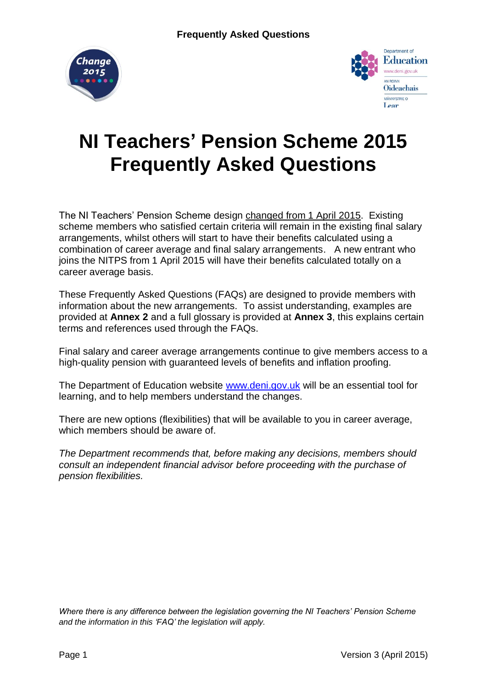



# **NI Teachers' Pension Scheme 2015 Frequently Asked Questions**

The NI Teachers' Pension Scheme design changed from 1 April 2015. Existing scheme members who satisfied certain criteria will remain in the existing final salary arrangements, whilst others will start to have their benefits calculated using a combination of career average and final salary arrangements. A new entrant who joins the NITPS from 1 April 2015 will have their benefits calculated totally on a career average basis.

These Frequently Asked Questions (FAQs) are designed to provide members with information about the new arrangements. To assist understanding, examples are provided at **Annex 2** and a full glossary is provided at **Annex 3**, this explains certain terms and references used through the FAQs.

Final salary and career average arrangements continue to give members access to a high-quality pension with guaranteed levels of benefits and inflation proofing.

The Department of Education website [www.deni.gov.uk](http://www.deni.gov.uk/) will be an essential tool for learning, and to help members understand the changes.

There are new options (flexibilities) that will be available to you in career average, which members should be aware of.

*The Department recommends that, before making any decisions, members should consult an independent financial advisor before proceeding with the purchase of pension flexibilities.* 

*Where there is any difference between the legislation governing the NI Teachers' Pension Scheme and the information in this 'FAQ' the legislation will apply.*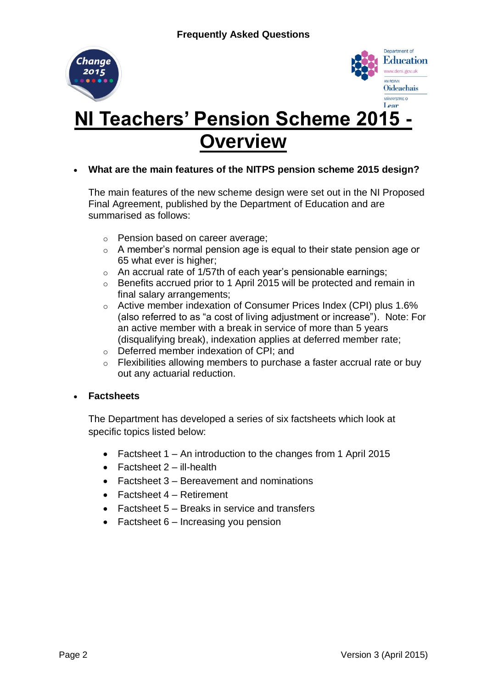



# **NI Teachers' Pension Scheme 2015 Overview**

**What are the main features of the NITPS pension scheme 2015 design?**

The main features of the new scheme design were set out in the NI Proposed Final Agreement, published by the Department of Education and are summarised as follows:

- o Pension based on career average;
- o A member's normal pension age is equal to their state pension age or 65 what ever is higher;
- $\circ$  An accrual rate of 1/57th of each year's pensionable earnings;
- o Benefits accrued prior to 1 April 2015 will be protected and remain in final salary arrangements;
- o Active member indexation of Consumer Prices Index (CPI) plus 1.6% (also referred to as "a cost of living adjustment or increase"). Note: For an active member with a break in service of more than 5 years (disqualifying break), indexation applies at deferred member rate;
- o Deferred member indexation of CPI; and
- o Flexibilities allowing members to purchase a faster accrual rate or buy out any actuarial reduction.

#### **Factsheets**

The Department has developed a series of six factsheets which look at specific topics listed below:

- Factsheet 1 An introduction to the changes from 1 April 2015
- $\bullet$  Factsheet 2 ill-health
- Factsheet 3 Bereavement and nominations
- Factsheet 4 Retirement
- Factsheet 5 Breaks in service and transfers
- Factsheet  $6$  Increasing you pension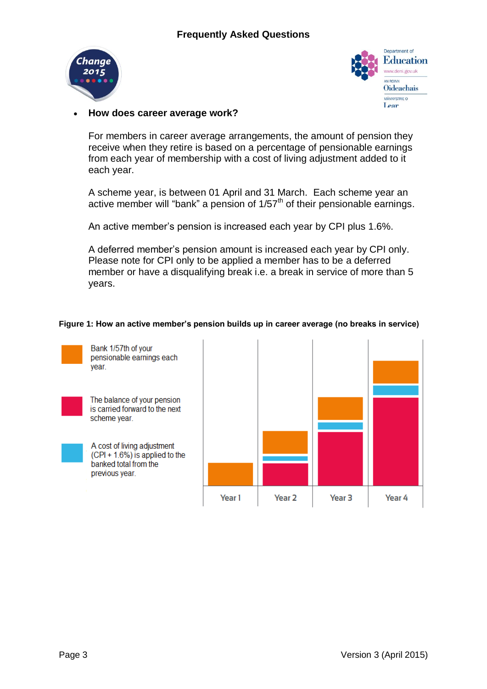



### **How does career average work?**

For members in career average arrangements, the amount of pension they receive when they retire is based on a percentage of pensionable earnings from each year of membership with a cost of living adjustment added to it each year.

A scheme year, is between 01 April and 31 March. Each scheme year an active member will "bank" a pension of  $1/57<sup>th</sup>$  of their pensionable earnings.

An active member's pension is increased each year by CPI plus 1.6%.

A deferred member's pension amount is increased each year by CPI only. Please note for CPI only to be applied a member has to be a deferred member or have a disqualifying break i.e. a break in service of more than 5 years.

#### **Figure 1: How an active member's pension builds up in career average (no breaks in service)**

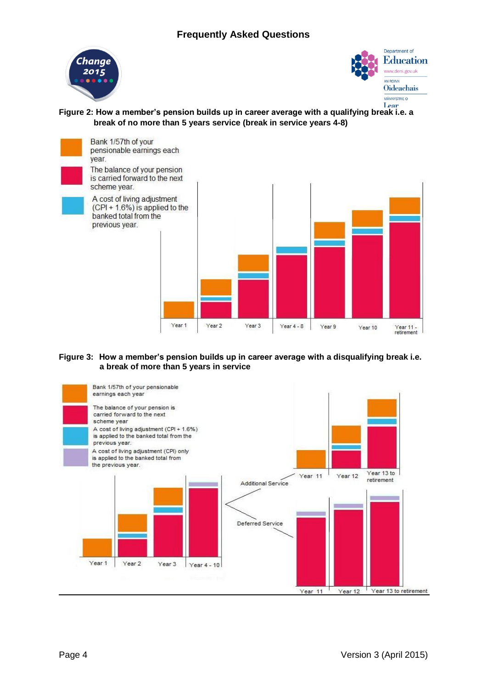### **Frequently Asked Questions**





**Figure 2: How a member's pension builds up in career average with a qualifying break i.e. a break of no more than 5 years service (break in service years 4-8)**



**Figure 3: How a member's pension builds up in career average with a disqualifying break i.e. a break of more than 5 years in service**

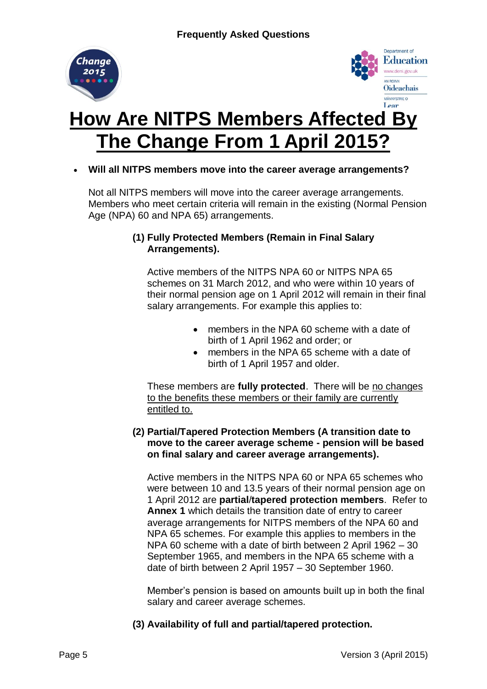



# **How Are NITPS Members Affected By The Change From 1 April 2015?**

## **Will all NITPS members move into the career average arrangements?**

Not all NITPS members will move into the career average arrangements. Members who meet certain criteria will remain in the existing (Normal Pension Age (NPA) 60 and NPA 65) arrangements.

### **(1) Fully Protected Members (Remain in Final Salary Arrangements).**

Active members of the NITPS NPA 60 or NITPS NPA 65 schemes on 31 March 2012, and who were within 10 years of their normal pension age on 1 April 2012 will remain in their final salary arrangements. For example this applies to:

- members in the NPA 60 scheme with a date of birth of 1 April 1962 and order; or
- members in the NPA 65 scheme with a date of birth of 1 April 1957 and older.

These members are **fully protected**. There will be no changes to the benefits these members or their family are currently entitled to.

### **(2) Partial/Tapered Protection Members (A transition date to move to the career average scheme - pension will be based on final salary and career average arrangements).**

Active members in the NITPS NPA 60 or NPA 65 schemes who were between 10 and 13.5 years of their normal pension age on 1 April 2012 are **partial**/**tapered protection members**. Refer to **Annex 1** which details the transition date of entry to career average arrangements for NITPS members of the NPA 60 and NPA 65 schemes. For example this applies to members in the NPA 60 scheme with a date of birth between 2 April 1962 – 30 September 1965, and members in the NPA 65 scheme with a date of birth between 2 April 1957 – 30 September 1960.

Member's pension is based on amounts built up in both the final salary and career average schemes.

**(3) Availability of full and partial/tapered protection.**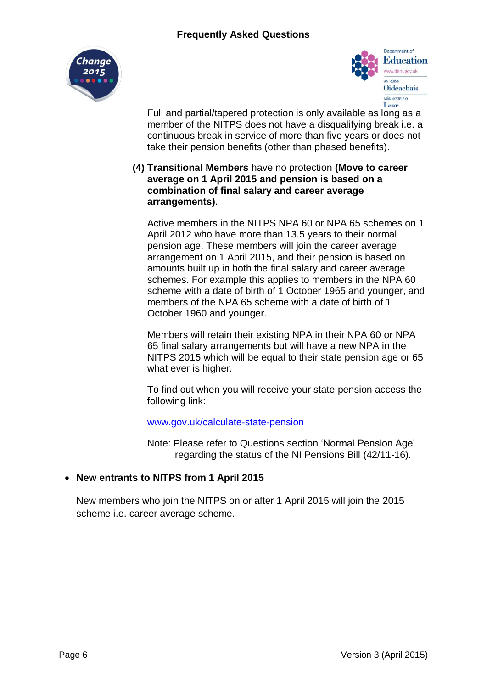



Full and partial/tapered protection is only available as long as a member of the NITPS does not have a disqualifying break i.e. a continuous break in service of more than five years or does not take their pension benefits (other than phased benefits).

### **(4) Transitional Members** have no protection **(Move to career average on 1 April 2015 and pension is based on a combination of final salary and career average arrangements)**.

Active members in the NITPS NPA 60 or NPA 65 schemes on 1 April 2012 who have more than 13.5 years to their normal pension age. These members will join the career average arrangement on 1 April 2015, and their pension is based on amounts built up in both the final salary and career average schemes. For example this applies to members in the NPA 60 scheme with a date of birth of 1 October 1965 and younger, and members of the NPA 65 scheme with a date of birth of 1 October 1960 and younger.

Members will retain their existing NPA in their NPA 60 or NPA 65 final salary arrangements but will have a new NPA in the NITPS 2015 which will be equal to their state pension age or 65 what ever is higher.

To find out when you will receive your state pension access the following link:

#### [www.gov.uk/calculate-state-pension](http://www.gov.uk/calculate-state-pension)

Note: Please refer to Questions section 'Normal Pension Age' regarding the status of the NI Pensions Bill (42/11-16).

## **New entrants to NITPS from 1 April 2015**

New members who join the NITPS on or after 1 April 2015 will join the 2015 scheme i.e. career average scheme.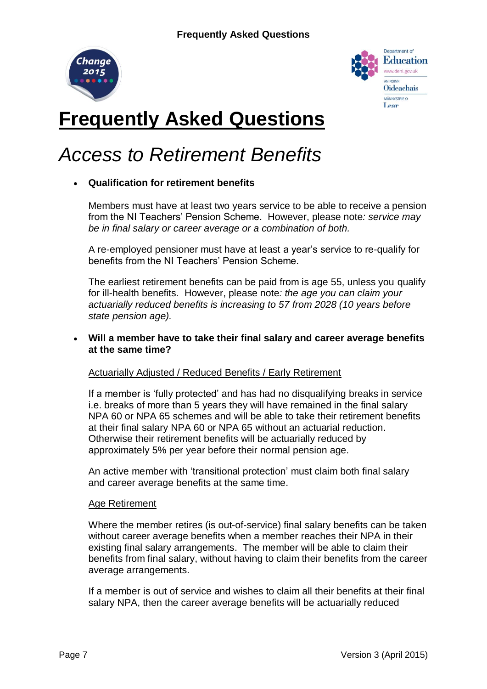



# **Frequently Asked Questions**

# *Access to Retirement Benefits*

# **Qualification for retirement benefits**

Members must have at least two years service to be able to receive a pension from the NI Teachers' Pension Scheme. However, please note*: service may be in final salary or career average or a combination of both.*

A re-employed pensioner must have at least a year's service to re-qualify for benefits from the NI Teachers' Pension Scheme.

The earliest retirement benefits can be paid from is age 55, unless you qualify for ill-health benefits. However, please note*: the age you can claim your actuarially reduced benefits is increasing to 57 from 2028 (10 years before state pension age).*

### **Will a member have to take their final salary and career average benefits at the same time?**

#### Actuarially Adjusted / Reduced Benefits / Early Retirement

If a member is 'fully protected' and has had no disqualifying breaks in service i.e. breaks of more than 5 years they will have remained in the final salary NPA 60 or NPA 65 schemes and will be able to take their retirement benefits at their final salary NPA 60 or NPA 65 without an actuarial reduction. Otherwise their retirement benefits will be actuarially reduced by approximately 5% per year before their normal pension age.

An active member with 'transitional protection' must claim both final salary and career average benefits at the same time.

#### Age Retirement

Where the member retires (is out-of-service) final salary benefits can be taken without career average benefits when a member reaches their NPA in their existing final salary arrangements. The member will be able to claim their benefits from final salary, without having to claim their benefits from the career average arrangements.

If a member is out of service and wishes to claim all their benefits at their final salary NPA, then the career average benefits will be actuarially reduced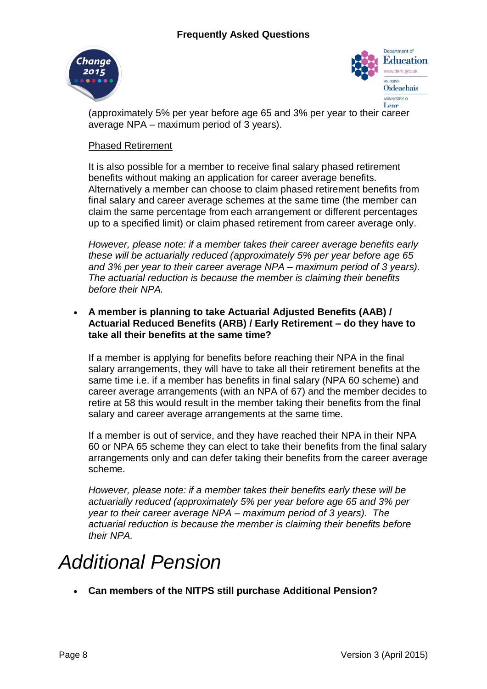



(approximately 5% per year before age 65 and 3% per year to their career average NPA – maximum period of 3 years).

### Phased Retirement

It is also possible for a member to receive final salary phased retirement benefits without making an application for career average benefits. Alternatively a member can choose to claim phased retirement benefits from final salary and career average schemes at the same time (the member can claim the same percentage from each arrangement or different percentages up to a specified limit) or claim phased retirement from career average only.

*However, please note: if a member takes their career average benefits early these will be actuarially reduced (approximately 5% per year before age 65 and 3% per year to their career average NPA – maximum period of 3 years). The actuarial reduction is because the member is claiming their benefits before their NPA.* 

## **A member is planning to take Actuarial Adjusted Benefits (AAB) / Actuarial Reduced Benefits (ARB) / Early Retirement – do they have to take all their benefits at the same time?**

If a member is applying for benefits before reaching their NPA in the final salary arrangements, they will have to take all their retirement benefits at the same time i.e. if a member has benefits in final salary (NPA 60 scheme) and career average arrangements (with an NPA of 67) and the member decides to retire at 58 this would result in the member taking their benefits from the final salary and career average arrangements at the same time.

If a member is out of service, and they have reached their NPA in their NPA 60 or NPA 65 scheme they can elect to take their benefits from the final salary arrangements only and can defer taking their benefits from the career average scheme.

*However, please note: if a member takes their benefits early these will be actuarially reduced (approximately 5% per year before age 65 and 3% per year to their career average NPA – maximum period of 3 years). The actuarial reduction is because the member is claiming their benefits before their NPA.* 

# *Additional Pension*

**Can members of the NITPS still purchase Additional Pension?**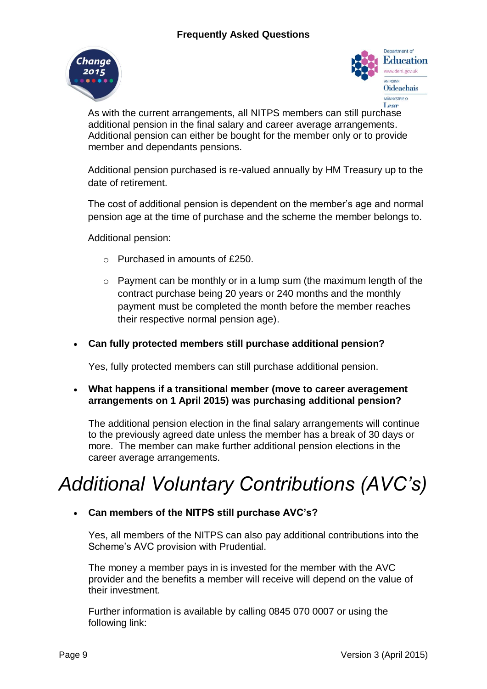



As with the current arrangements, all NITPS members can still purchase additional pension in the final salary and career average arrangements. Additional pension can either be bought for the member only or to provide member and dependants pensions.

Additional pension purchased is re-valued annually by HM Treasury up to the date of retirement.

The cost of additional pension is dependent on the member's age and normal pension age at the time of purchase and the scheme the member belongs to.

Additional pension:

- o Purchased in amounts of £250.
- o Payment can be monthly or in a lump sum (the maximum length of the contract purchase being 20 years or 240 months and the monthly payment must be completed the month before the member reaches their respective normal pension age).

### **Can fully protected members still purchase additional pension?**

Yes, fully protected members can still purchase additional pension.

 **What happens if a transitional member (move to career averagement arrangements on 1 April 2015) was purchasing additional pension?**

The additional pension election in the final salary arrangements will continue to the previously agreed date unless the member has a break of 30 days or more. The member can make further additional pension elections in the career average arrangements.

# *Additional Voluntary Contributions (AVC's)*

## **Can members of the NITPS still purchase AVC's?**

Yes, all members of the NITPS can also pay additional contributions into the Scheme's AVC provision with Prudential.

The money a member pays in is invested for the member with the AVC provider and the benefits a member will receive will depend on the value of their investment.

Further information is available by calling 0845 070 0007 or using the following link: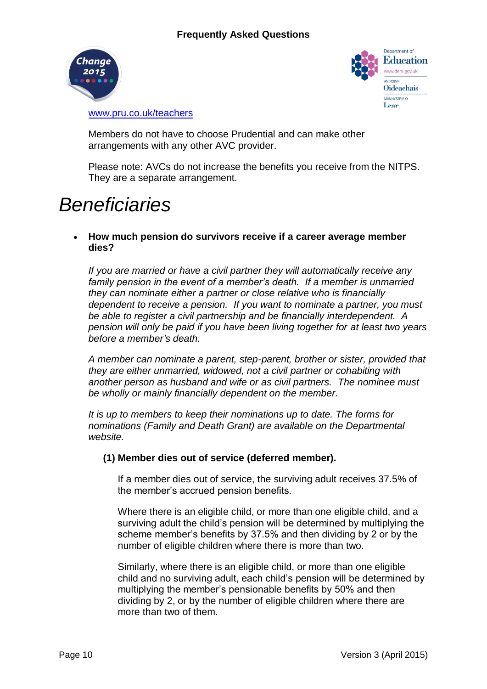



[www.pru.co.uk/teachers](http://www.pru.co.uk/teachers)

Members do not have to choose Prudential and can make other arrangements with any other AVC provider.

Please note: AVCs do not increase the benefits you receive from the NITPS. They are a separate arrangement.

# *Beneficiaries*

 **How much pension do survivors receive if a career average member dies?**

*If you are married or have a civil partner they will automatically receive any family pension in the event of a member's death. If a member is unmarried they can nominate either a partner or close relative who is financially dependent to receive a pension. If you want to nominate a partner, you must be able to register a civil partnership and be financially interdependent. A pension will only be paid if you have been living together for at least two years before a member's death.* 

*A member can nominate a parent, step-parent, brother or sister, provided that they are either unmarried, widowed, not a civil partner or cohabiting with another person as husband and wife or as civil partners. The nominee must be wholly or mainly financially dependent on the member.*

*It is up to members to keep their nominations up to date. The forms for nominations (Family and Death Grant) are available on the Departmental website.*

#### **(1) Member dies out of service (deferred member).**

If a member dies out of service, the surviving adult receives 37.5% of the member's accrued pension benefits.

Where there is an eligible child, or more than one eligible child, and a surviving adult the child's pension will be determined by multiplying the scheme member's benefits by 37.5% and then dividing by 2 or by the number of eligible children where there is more than two.

Similarly, where there is an eligible child, or more than one eligible child and no surviving adult, each child's pension will be determined by multiplying the member's pensionable benefits by 50% and then dividing by 2, or by the number of eligible children where there are more than two of them.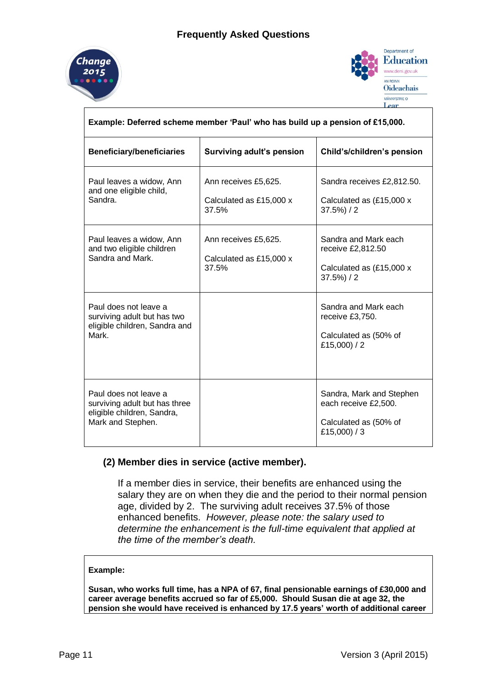



| Example: Deferred scheme member 'Paul' who has build up a pension of £15,000.                             |                                                          |                                                                                           |  |  |  |  |  |
|-----------------------------------------------------------------------------------------------------------|----------------------------------------------------------|-------------------------------------------------------------------------------------------|--|--|--|--|--|
| <b>Beneficiary/beneficiaries</b>                                                                          | Surviving adult's pension                                | Child's/children's pension                                                                |  |  |  |  |  |
| Paul leaves a widow, Ann<br>and one eligible child,<br>Sandra.                                            | Ann receives £5,625.<br>Calculated as £15,000 x<br>37.5% | Sandra receives £2,812.50.<br>Calculated as (£15,000 x<br>$37.5\%$ ) / 2                  |  |  |  |  |  |
| Paul leaves a widow, Ann<br>and two eligible children<br>Sandra and Mark.                                 | Ann receives £5,625.<br>Calculated as £15,000 x<br>37.5% | Sandra and Mark each<br>receive £2,812.50<br>Calculated as (£15,000 x<br>$37.5\%$ ) / 2   |  |  |  |  |  |
| Paul does not leave a<br>surviving adult but has two<br>eligible children, Sandra and<br>Mark.            |                                                          | Sandra and Mark each<br>receive £3,750.<br>Calculated as (50% of<br>£15,000) $/2$         |  |  |  |  |  |
| Paul does not leave a<br>surviving adult but has three<br>eligible children, Sandra,<br>Mark and Stephen. |                                                          | Sandra, Mark and Stephen<br>each receive £2,500.<br>Calculated as (50% of<br>£15,000) / 3 |  |  |  |  |  |

## **(2) Member dies in service (active member).**

If a member dies in service, their benefits are enhanced using the salary they are on when they die and the period to their normal pension age, divided by 2. The surviving adult receives 37.5% of those enhanced benefits. *However, please note: the salary used to determine the enhancement is the full-time equivalent that applied at the time of the member's death.* 

#### **Example:**

**Susan, who works full time, has a NPA of 67, final pensionable earnings of £30,000 and career average benefits accrued so far of £5,000. Should Susan die at age 32, the pension she would have received is enhanced by 17.5 years' worth of additional career**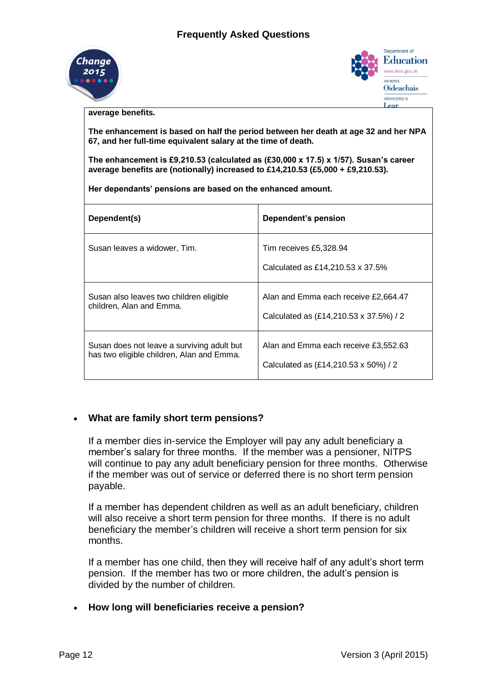



**average benefits.**

**The enhancement is based on half the period between her death at age 32 and her NPA 67, and her full-time equivalent salary at the time of death.** 

**The enhancement is £9,210.53 (calculated as (£30,000 x 17.5) x 1/57). Susan's career average benefits are (notionally) increased to £14,210.53 (£5,000 + £9,210.53).**

**Her dependants' pensions are based on the enhanced amount.**

| Dependent(s)                               | Dependent's pension                                        |
|--------------------------------------------|------------------------------------------------------------|
| Susan leaves a widower, Tim.               | Tim receives £5,328.94<br>Calculated as £14,210.53 x 37.5% |
| Susan also leaves two children eligible    | Alan and Emma each receive £2,664.47                       |
| children, Alan and Emma.                   | Calculated as (£14,210.53 x 37.5%) / 2                     |
| Susan does not leave a surviving adult but | Alan and Emma each receive £3,552.63                       |
| has two eligible children, Alan and Emma.  | Calculated as (£14,210.53 x 50%) / 2                       |

#### **What are family short term pensions?**

If a member dies in-service the Employer will pay any adult beneficiary a member's salary for three months. If the member was a pensioner, NITPS will continue to pay any adult beneficiary pension for three months. Otherwise if the member was out of service or deferred there is no short term pension payable.

If a member has dependent children as well as an adult beneficiary, children will also receive a short term pension for three months. If there is no adult beneficiary the member's children will receive a short term pension for six months.

If a member has one child, then they will receive half of any adult's short term pension. If the member has two or more children, the adult's pension is divided by the number of children.

#### **How long will beneficiaries receive a pension?**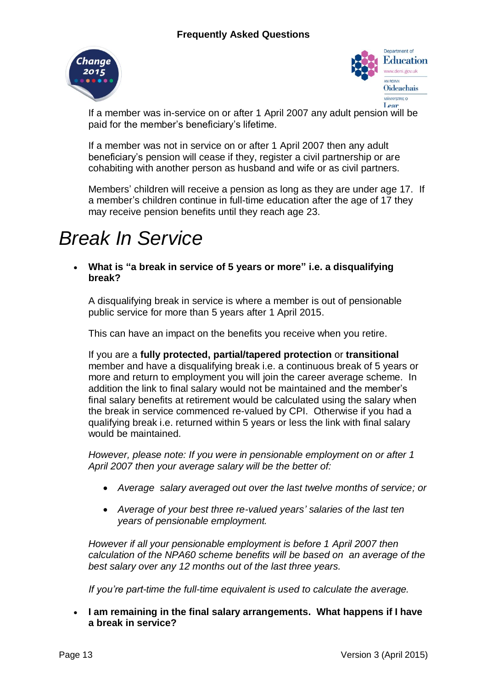



If a member was in-service on or after 1 April 2007 any adult pension will be paid for the member's beneficiary's lifetime.

If a member was not in service on or after 1 April 2007 then any adult beneficiary's pension will cease if they, register a civil partnership or are cohabiting with another person as husband and wife or as civil partners.

Members' children will receive a pension as long as they are under age 17. If a member's children continue in full-time education after the age of 17 they may receive pension benefits until they reach age 23.

# *Break In Service*

 **What is "a break in service of 5 years or more" i.e. a disqualifying break?**

A disqualifying break in service is where a member is out of pensionable public service for more than 5 years after 1 April 2015.

This can have an impact on the benefits you receive when you retire.

If you are a **fully protected, partial/tapered protection** or **transitional** member and have a disqualifying break i.e. a continuous break of 5 years or more and return to employment you will join the career average scheme. In addition the link to final salary would not be maintained and the member's final salary benefits at retirement would be calculated using the salary when the break in service commenced re-valued by CPI. Otherwise if you had a qualifying break i.e. returned within 5 years or less the link with final salary would be maintained.

*However, please note: If you were in pensionable employment on or after 1 April 2007 then your average salary will be the better of:*

- *Average salary averaged out over the last twelve months of service; or*
- *Average of your best three re-valued years' salaries of the last ten years of pensionable employment.*

*However if all your pensionable employment is before 1 April 2007 then calculation of the NPA60 scheme benefits will be based on an average of the best salary over any 12 months out of the last three years.*

*If you're part-time the full-time equivalent is used to calculate the average.*

 **I am remaining in the final salary arrangements. What happens if I have a break in service?**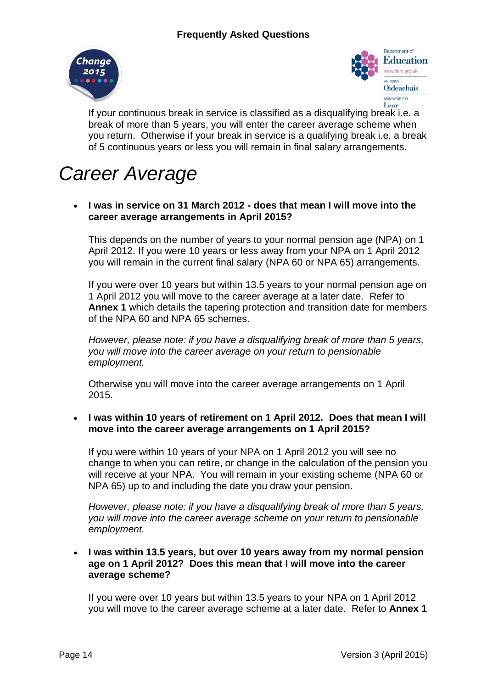



If your continuous break in service is classified as a disqualifying break i.e. a break of more than 5 years, you will enter the career average scheme when you return. Otherwise if your break in service is a qualifying break i.e. a break of 5 continuous years or less you will remain in final salary arrangements.

# *Career Average*

 **I was in service on 31 March 2012 - does that mean I will move into the career average arrangements in April 2015?**

This depends on the number of years to your normal pension age (NPA) on 1 April 2012. If you were 10 years or less away from your NPA on 1 April 2012 you will remain in the current final salary (NPA 60 or NPA 65) arrangements.

If you were over 10 years but within 13.5 years to your normal pension age on 1 April 2012 you will move to the career average at a later date. Refer to **Annex 1** which details the tapering protection and transition date for members of the NPA 60 and NPA 65 schemes.

*However, please note: if you have a disqualifying break of more than 5 years, you will move into the career average on your return to pensionable employment.*

Otherwise you will move into the career average arrangements on 1 April 2015.

 **I was within 10 years of retirement on 1 April 2012. Does that mean I will move into the career average arrangements on 1 April 2015?**

If you were within 10 years of your NPA on 1 April 2012 you will see no change to when you can retire, or change in the calculation of the pension you will receive at your NPA. You will remain in your existing scheme (NPA 60 or NPA 65) up to and including the date you draw your pension.

*However, please note: if you have a disqualifying break of more than 5 years, you will move into the career average scheme on your return to pensionable employment.*

#### **I was within 13.5 years, but over 10 years away from my normal pension age on 1 April 2012? Does this mean that I will move into the career average scheme?**

If you were over 10 years but within 13.5 years to your NPA on 1 April 2012 you will move to the career average scheme at a later date. Refer to **Annex 1**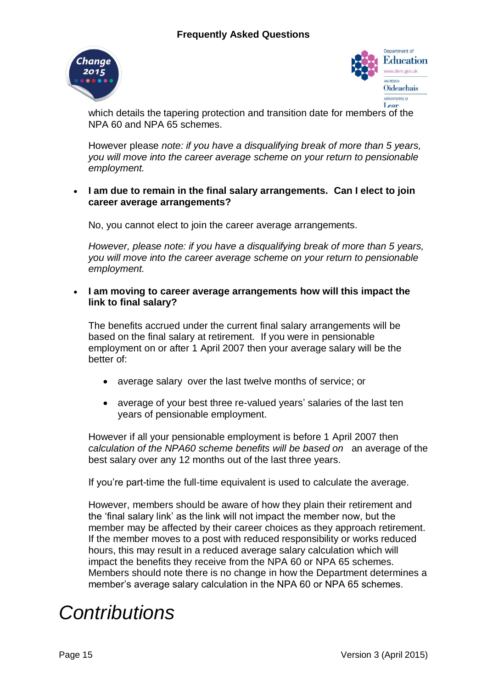



which details the tapering protection and transition date for members of the NPA 60 and NPA 65 schemes.

However please *note: if you have a disqualifying break of more than 5 years, you will move into the career average scheme on your return to pensionable employment.*

### **I am due to remain in the final salary arrangements. Can I elect to join career average arrangements?**

No, you cannot elect to join the career average arrangements.

*However, please note: if you have a disqualifying break of more than 5 years, you will move into the career average scheme on your return to pensionable employment.*

 **I am moving to career average arrangements how will this impact the link to final salary?**

The benefits accrued under the current final salary arrangements will be based on the final salary at retirement*.* If you were in pensionable employment on or after 1 April 2007 then your average salary will be the better of:

- average salary over the last twelve months of service; or
- average of your best three re-valued years' salaries of the last ten years of pensionable employment.

However if all your pensionable employment is before 1 April 2007 then *calculation of the NPA60 scheme benefits will be based on* an average of the best salary over any 12 months out of the last three years.

If you're part-time the full-time equivalent is used to calculate the average.

However, members should be aware of how they plain their retirement and the 'final salary link' as the link will not impact the member now, but the member may be affected by their career choices as they approach retirement. If the member moves to a post with reduced responsibility or works reduced hours, this may result in a reduced average salary calculation which will impact the benefits they receive from the NPA 60 or NPA 65 schemes. Members should note there is no change in how the Department determines a member's average salary calculation in the NPA 60 or NPA 65 schemes.

# *Contributions*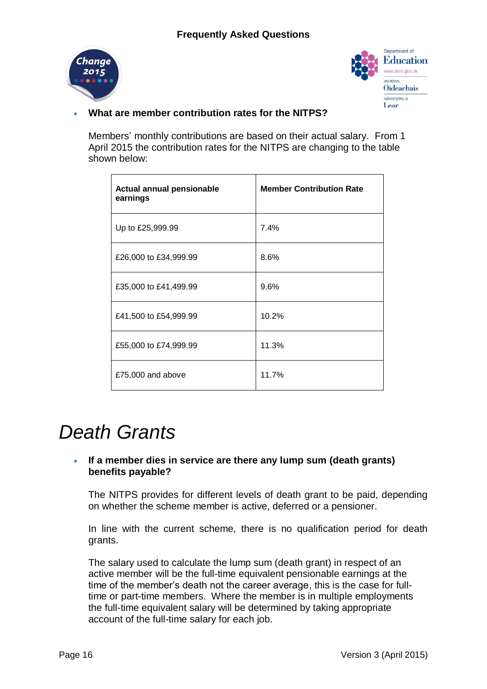



## **What are member contribution rates for the NITPS?**

Members' monthly contributions are based on their actual salary. From 1 April 2015 the contribution rates for the NITPS are changing to the table shown below:

| Actual annual pensionable<br>earnings | <b>Member Contribution Rate</b> |
|---------------------------------------|---------------------------------|
| Up to £25,999.99                      | 7.4%                            |
| £26,000 to £34,999.99                 | 8.6%                            |
| £35,000 to £41,499.99                 | 9.6%                            |
| £41,500 to £54,999.99                 | 10.2%                           |
| £55,000 to £74,999.99                 | 11.3%                           |
| £75,000 and above                     | 11.7%                           |

# *Death Grants*

## **If a member dies in service are there any lump sum (death grants) benefits payable?**

The NITPS provides for different levels of death grant to be paid, depending on whether the scheme member is active, deferred or a pensioner.

In line with the current scheme, there is no qualification period for death grants.

The salary used to calculate the lump sum (death grant) in respect of an active member will be the full-time equivalent pensionable earnings at the time of the member's death not the career average, this is the case for fulltime or part-time members. Where the member is in multiple employments the full-time equivalent salary will be determined by taking appropriate account of the full-time salary for each job.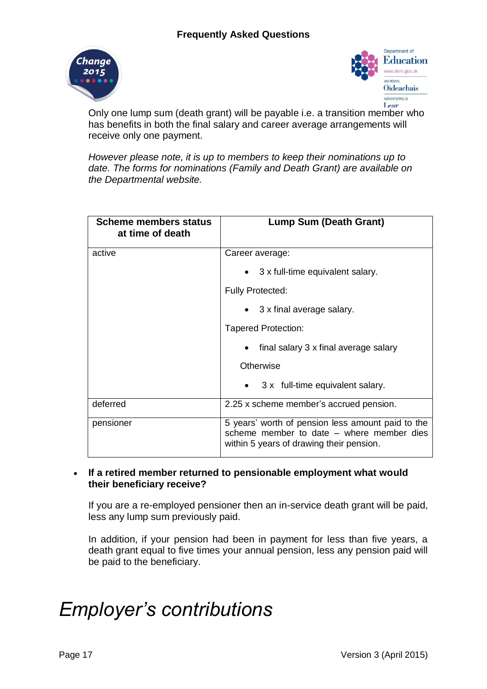



Only one lump sum (death grant) will be payable i.e. a transition member who has benefits in both the final salary and career average arrangements will receive only one payment.

*However please note, it is up to members to keep their nominations up to date. The forms for nominations (Family and Death Grant) are available on the Departmental website.*

| <b>Scheme members status</b><br>at time of death | <b>Lump Sum (Death Grant)</b>                                                                                                              |  |  |  |  |  |  |
|--------------------------------------------------|--------------------------------------------------------------------------------------------------------------------------------------------|--|--|--|--|--|--|
| active                                           | Career average:                                                                                                                            |  |  |  |  |  |  |
|                                                  | $\bullet$ 3 x full-time equivalent salary.                                                                                                 |  |  |  |  |  |  |
|                                                  | <b>Fully Protected:</b>                                                                                                                    |  |  |  |  |  |  |
|                                                  | $\bullet$ 3 x final average salary.                                                                                                        |  |  |  |  |  |  |
|                                                  | <b>Tapered Protection:</b>                                                                                                                 |  |  |  |  |  |  |
|                                                  | final salary 3 x final average salary                                                                                                      |  |  |  |  |  |  |
|                                                  | Otherwise                                                                                                                                  |  |  |  |  |  |  |
|                                                  | 3 x full-time equivalent salary.                                                                                                           |  |  |  |  |  |  |
| deferred                                         | 2.25 x scheme member's accrued pension.                                                                                                    |  |  |  |  |  |  |
| pensioner                                        | 5 years' worth of pension less amount paid to the<br>scheme member to date – where member dies<br>within 5 years of drawing their pension. |  |  |  |  |  |  |

### **If a retired member returned to pensionable employment what would their beneficiary receive?**

If you are a re-employed pensioner then an in-service death grant will be paid, less any lump sum previously paid.

In addition, if your pension had been in payment for less than five years, a death grant equal to five times your annual pension, less any pension paid will be paid to the beneficiary.

# *Employer's contributions*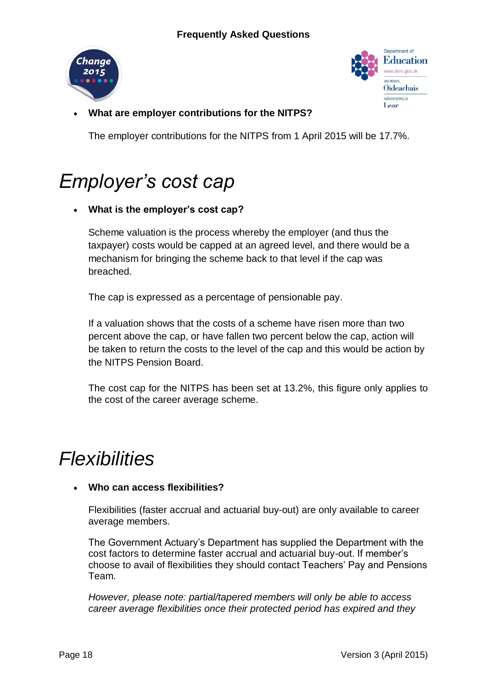



**What are employer contributions for the NITPS?**

The employer contributions for the NITPS from 1 April 2015 will be 17.7%.

# *Employer's cost cap*

# **What is the employer's cost cap?**

Scheme valuation is the process whereby the employer (and thus the taxpayer) costs would be capped at an agreed level, and there would be a mechanism for bringing the scheme back to that level if the cap was breached.

The cap is expressed as a percentage of pensionable pay.

If a valuation shows that the costs of a scheme have risen more than two percent above the cap, or have fallen two percent below the cap, action will be taken to return the costs to the level of the cap and this would be action by the NITPS Pension Board.

The cost cap for the NITPS has been set at 13.2%, this figure only applies to the cost of the career average scheme.

# *Flexibilities*

## **Who can access flexibilities?**

Flexibilities (faster accrual and actuarial buy-out) are only available to career average members.

The Government Actuary's Department has supplied the Department with the cost factors to determine faster accrual and actuarial buy-out. If member's choose to avail of flexibilities they should contact Teachers' Pay and Pensions Team.

*However, please note: partial/tapered members will only be able to access career average flexibilities once their protected period has expired and they*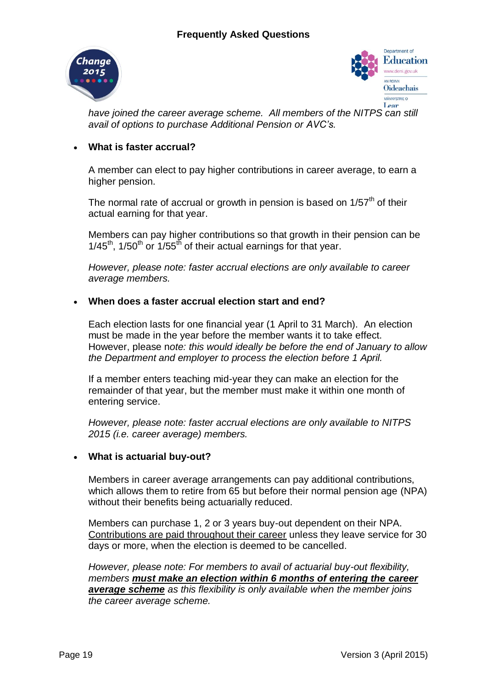



*have joined the career average scheme. All members of the NITPS can still avail of options to purchase Additional Pension or AVC's.*

## **What is faster accrual?**

A member can elect to pay higher contributions in career average, to earn a higher pension.

The normal rate of accrual or growth in pension is based on  $1/57<sup>th</sup>$  of their actual earning for that year.

Members can pay higher contributions so that growth in their pension can be  $1/45<sup>th</sup>$ , 1/50<sup>th</sup> or 1/55<sup>th</sup> of their actual earnings for that year.

*However, please note: faster accrual elections are only available to career average members.*

## **When does a faster accrual election start and end?**

Each election lasts for one financial year (1 April to 31 March). An election must be made in the year before the member wants it to take effect. However, please n*ote: this would ideally be before the end of January to allow the Department and employer to process the election before 1 April.*

If a member enters teaching mid-year they can make an election for the remainder of that year, but the member must make it within one month of entering service.

*However, please note: faster accrual elections are only available to NITPS 2015 (i.e. career average) members.*

## **What is actuarial buy-out?**

Members in career average arrangements can pay additional contributions, which allows them to retire from 65 but before their normal pension age (NPA) without their benefits being actuarially reduced.

Members can purchase 1, 2 or 3 years buy-out dependent on their NPA. Contributions are paid throughout their career unless they leave service for 30 days or more, when the election is deemed to be cancelled.

*However, please note: For members to avail of actuarial buy-out flexibility, members must make an election within 6 months of entering the career average scheme as this flexibility is only available when the member joins the career average scheme.*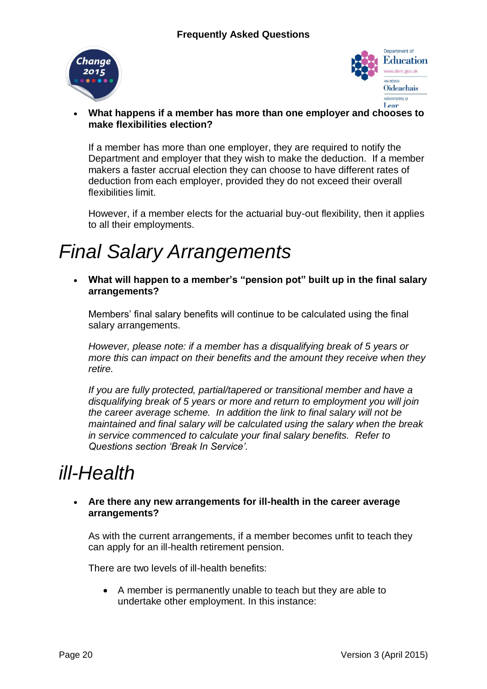



### **What happens if a member has more than one employer and chooses to make flexibilities election?**

If a member has more than one employer, they are required to notify the Department and employer that they wish to make the deduction. If a member makers a faster accrual election they can choose to have different rates of deduction from each employer, provided they do not exceed their overall flexibilities limit.

However, if a member elects for the actuarial buy-out flexibility, then it applies to all their employments.

# *Final Salary Arrangements*

 **What will happen to a member's "pension pot" built up in the final salary arrangements?**

Members' final salary benefits will continue to be calculated using the final salary arrangements.

*However, please note: if a member has a disqualifying break of 5 years or more this can impact on their benefits and the amount they receive when they retire.*

*If you are fully protected, partial/tapered or transitional member and have a disqualifying break of 5 years or more and return to employment you will join the career average scheme. In addition the link to final salary will not be maintained and final salary will be calculated using the salary when the break in service commenced to calculate your final salary benefits. Refer to Questions section 'Break In Service'.*

# *ill-Health*

### **Are there any new arrangements for ill-health in the career average arrangements?**

As with the current arrangements, if a member becomes unfit to teach they can apply for an ill-health retirement pension.

There are two levels of ill-health benefits:

 A member is permanently unable to teach but they are able to undertake other employment. In this instance: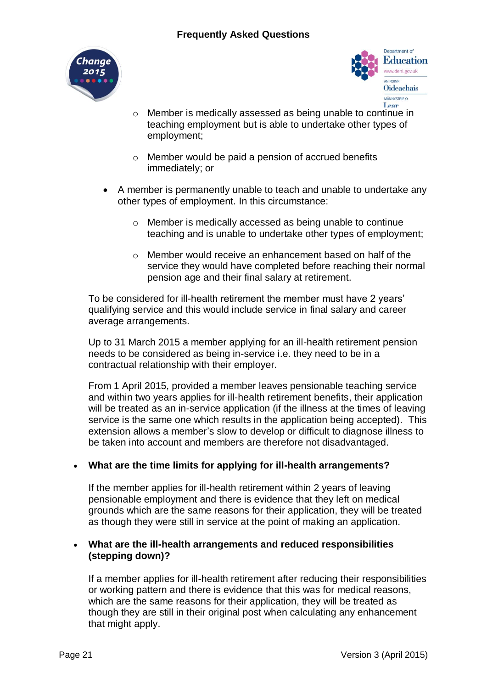



- o Member is medically assessed as being unable to continue in teaching employment but is able to undertake other types of employment;
- o Member would be paid a pension of accrued benefits immediately; or
- A member is permanently unable to teach and unable to undertake any other types of employment. In this circumstance:
	- o Member is medically accessed as being unable to continue teaching and is unable to undertake other types of employment;
	- o Member would receive an enhancement based on half of the service they would have completed before reaching their normal pension age and their final salary at retirement.

To be considered for ill-health retirement the member must have 2 years' qualifying service and this would include service in final salary and career average arrangements.

Up to 31 March 2015 a member applying for an ill-health retirement pension needs to be considered as being in-service i.e. they need to be in a contractual relationship with their employer.

From 1 April 2015, provided a member leaves pensionable teaching service and within two years applies for ill-health retirement benefits, their application will be treated as an in-service application (if the illness at the times of leaving service is the same one which results in the application being accepted). This extension allows a member's slow to develop or difficult to diagnose illness to be taken into account and members are therefore not disadvantaged.

## **What are the time limits for applying for ill-health arrangements?**

If the member applies for ill-health retirement within 2 years of leaving pensionable employment and there is evidence that they left on medical grounds which are the same reasons for their application, they will be treated as though they were still in service at the point of making an application.

### **What are the ill-health arrangements and reduced responsibilities (stepping down)?**

If a member applies for ill-health retirement after reducing their responsibilities or working pattern and there is evidence that this was for medical reasons, which are the same reasons for their application, they will be treated as though they are still in their original post when calculating any enhancement that might apply.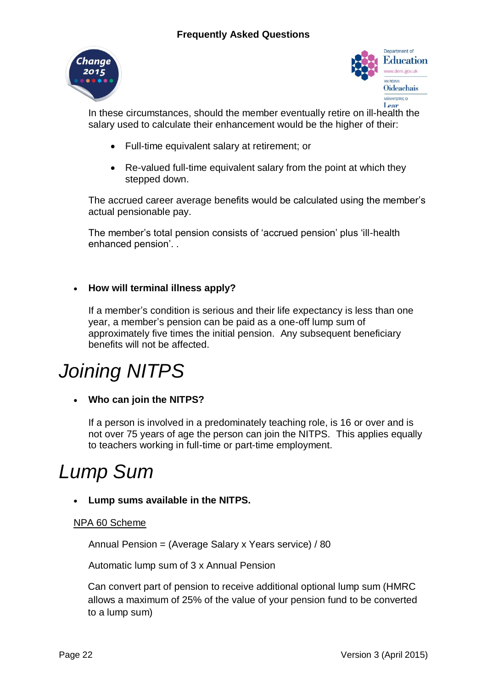



In these circumstances, should the member eventually retire on ill-health the salary used to calculate their enhancement would be the higher of their:

- Full-time equivalent salary at retirement; or
- Re-valued full-time equivalent salary from the point at which they stepped down.

The accrued career average benefits would be calculated using the member's actual pensionable pay.

The member's total pension consists of 'accrued pension' plus 'ill-health enhanced pension'. .

# **How will terminal illness apply?**

If a member's condition is serious and their life expectancy is less than one year, a member's pension can be paid as a one-off lump sum of approximately five times the initial pension. Any subsequent beneficiary benefits will not be affected.

# *Joining NITPS*

**Who can join the NITPS?**

If a person is involved in a predominately teaching role, is 16 or over and is not over 75 years of age the person can join the NITPS. This applies equally to teachers working in full-time or part-time employment.

# *Lump Sum*

## **Lump sums available in the NITPS.**

## NPA 60 Scheme

Annual Pension = (Average Salary x Years service) / 80

Automatic lump sum of 3 x Annual Pension

Can convert part of pension to receive additional optional lump sum (HMRC allows a maximum of 25% of the value of your pension fund to be converted to a lump sum)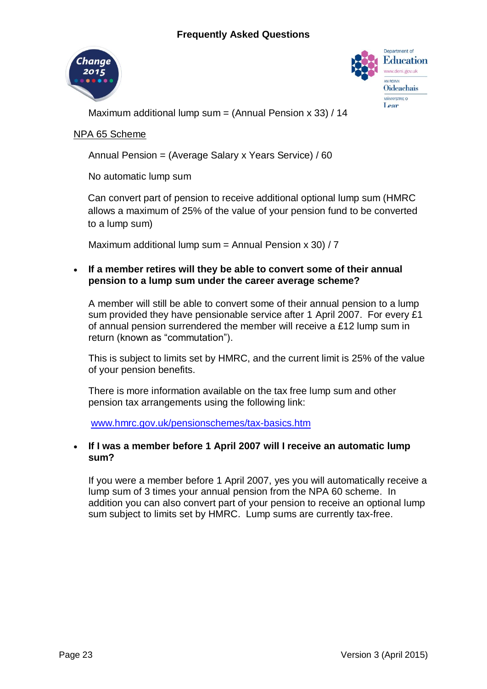



Maximum additional lump sum = (Annual Pension  $x$  33) / 14

### NPA 65 Scheme

Annual Pension = (Average Salary x Years Service) / 60

No automatic lump sum

Can convert part of pension to receive additional optional lump sum (HMRC allows a maximum of 25% of the value of your pension fund to be converted to a lump sum)

Maximum additional lump sum = Annual Pension  $x$  30) / 7

### **If a member retires will they be able to convert some of their annual pension to a lump sum under the career average scheme?**

A member will still be able to convert some of their annual pension to a lump sum provided they have pensionable service after 1 April 2007. For every £1 of annual pension surrendered the member will receive a £12 lump sum in return (known as "commutation").

This is subject to limits set by HMRC, and the current limit is 25% of the value of your pension benefits.

There is more information available on the tax free lump sum and other pension tax arrangements using the following link:

[www.hmrc.gov.uk/pensionschemes/tax-basics.htm](http://www.hmrc.gov.uk/pensionschemes/tax-basics.htm)

### **If I was a member before 1 April 2007 will I receive an automatic lump sum?**

If you were a member before 1 April 2007, yes you will automatically receive a lump sum of 3 times your annual pension from the NPA 60 scheme. In addition you can also convert part of your pension to receive an optional lump sum subject to limits set by HMRC. Lump sums are currently tax-free.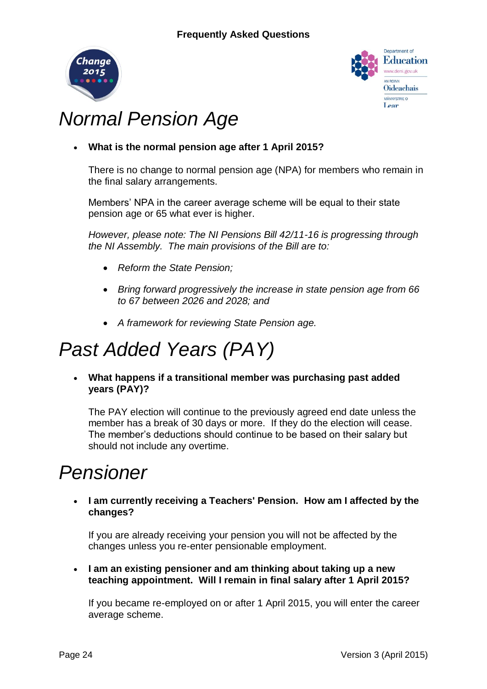



# *Normal Pension Age*

**What is the normal pension age after 1 April 2015?**

There is no change to normal pension age (NPA) for members who remain in the final salary arrangements.

Members' NPA in the career average scheme will be equal to their state pension age or 65 what ever is higher.

*However, please note: The NI Pensions Bill 42/11-16 is progressing through the NI Assembly. The main provisions of the Bill are to:*

- *Reform the State Pension;*
- *Bring forward progressively the increase in state pension age from 66 to 67 between 2026 and 2028; and*
- *A framework for reviewing State Pension age.*

# *Past Added Years (PAY)*

 **What happens if a transitional member was purchasing past added years (PAY)?**

The PAY election will continue to the previously agreed end date unless the member has a break of 30 days or more. If they do the election will cease. The member's deductions should continue to be based on their salary but should not include any overtime.

# *Pensioner*

 **I am currently receiving a Teachers' Pension. How am I affected by the changes?**

If you are already receiving your pension you will not be affected by the changes unless you re-enter pensionable employment.

 **I am an existing pensioner and am thinking about taking up a new teaching appointment. Will I remain in final salary after 1 April 2015?**

If you became re-employed on or after 1 April 2015, you will enter the career average scheme.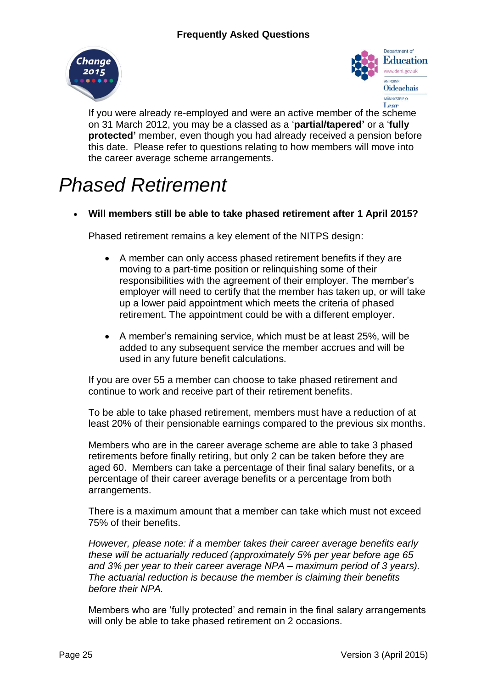



If you were already re-employed and were an active member of the scheme on 31 March 2012, you may be a classed as a '**partial/tapered'** or a '**fully protected'** member, even though you had already received a pension before this date. Please refer to questions relating to how members will move into the career average scheme arrangements.

# *Phased Retirement*

**Will members still be able to take phased retirement after 1 April 2015?**

Phased retirement remains a key element of the NITPS design:

- A member can only access phased retirement benefits if they are moving to a part-time position or relinquishing some of their responsibilities with the agreement of their employer. The member's employer will need to certify that the member has taken up, or will take up a lower paid appointment which meets the criteria of phased retirement. The appointment could be with a different employer.
- A member's remaining service, which must be at least 25%, will be added to any subsequent service the member accrues and will be used in any future benefit calculations.

If you are over 55 a member can choose to take phased retirement and continue to work and receive part of their retirement benefits.

To be able to take phased retirement, members must have a reduction of at least 20% of their pensionable earnings compared to the previous six months.

Members who are in the career average scheme are able to take 3 phased retirements before finally retiring, but only 2 can be taken before they are aged 60. Members can take a percentage of their final salary benefits, or a percentage of their career average benefits or a percentage from both arrangements.

There is a maximum amount that a member can take which must not exceed 75% of their benefits.

*However, please note: if a member takes their career average benefits early these will be actuarially reduced (approximately 5% per year before age 65 and 3% per year to their career average NPA – maximum period of 3 years). The actuarial reduction is because the member is claiming their benefits before their NPA.* 

Members who are 'fully protected' and remain in the final salary arrangements will only be able to take phased retirement on 2 occasions.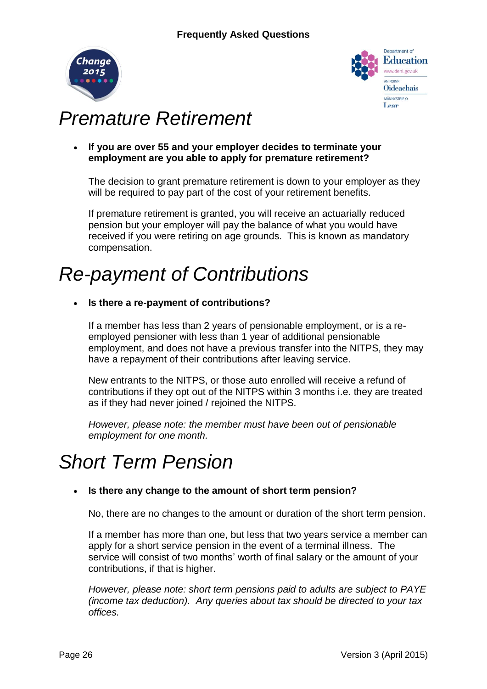



# *Premature Retirement*

 **If you are over 55 and your employer decides to terminate your employment are you able to apply for premature retirement?**

The decision to grant premature retirement is down to your employer as they will be required to pay part of the cost of your retirement benefits.

If premature retirement is granted, you will receive an actuarially reduced pension but your employer will pay the balance of what you would have received if you were retiring on age grounds. This is known as mandatory compensation.

# *Re-payment of Contributions*

**Is there a re-payment of contributions?**

If a member has less than 2 years of pensionable employment, or is a reemployed pensioner with less than 1 year of additional pensionable employment, and does not have a previous transfer into the NITPS, they may have a repayment of their contributions after leaving service.

New entrants to the NITPS, or those auto enrolled will receive a refund of contributions if they opt out of the NITPS within 3 months i.e. they are treated as if they had never joined / rejoined the NITPS.

*However, please note: the member must have been out of pensionable employment for one month.* 

# *Short Term Pension*

# **Is there any change to the amount of short term pension?**

No, there are no changes to the amount or duration of the short term pension.

If a member has more than one, but less that two years service a member can apply for a short service pension in the event of a terminal illness. The service will consist of two months' worth of final salary or the amount of your contributions, if that is higher.

*However, please note: short term pensions paid to adults are subject to PAYE (income tax deduction). Any queries about tax should be directed to your tax offices.*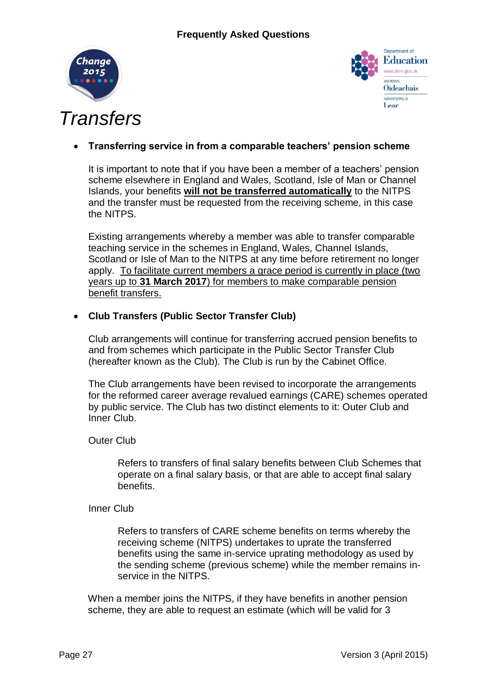



# *Transfers*

# **Transferring service in from a comparable teachers' pension scheme**

It is important to note that if you have been a member of a teachers' pension scheme elsewhere in England and Wales, Scotland, Isle of Man or Channel Islands, your benefits **will not be transferred automatically** to the NITPS and the transfer must be requested from the receiving scheme, in this case the NITPS.

Existing arrangements whereby a member was able to transfer comparable teaching service in the schemes in England, Wales, Channel Islands, Scotland or Isle of Man to the NITPS at any time before retirement no longer apply. To facilitate current members a grace period is currently in place (two years up to **31 March 2017**) for members to make comparable pension benefit transfers.

# **Club Transfers (Public Sector Transfer Club)**

Club arrangements will continue for transferring accrued pension benefits to and from schemes which participate in the Public Sector Transfer Club (hereafter known as the Club). The Club is run by the Cabinet Office.

The Club arrangements have been revised to incorporate the arrangements for the reformed career average revalued earnings (CARE) schemes operated by public service. The Club has two distinct elements to it: Outer Club and Inner Club.

## Outer Club

Refers to transfers of final salary benefits between Club Schemes that operate on a final salary basis, or that are able to accept final salary benefits.

#### Inner Club

Refers to transfers of CARE scheme benefits on terms whereby the receiving scheme (NITPS) undertakes to uprate the transferred benefits using the same in-service uprating methodology as used by the sending scheme (previous scheme) while the member remains inservice in the NITPS.

When a member joins the NITPS, if they have benefits in another pension scheme, they are able to request an estimate (which will be valid for 3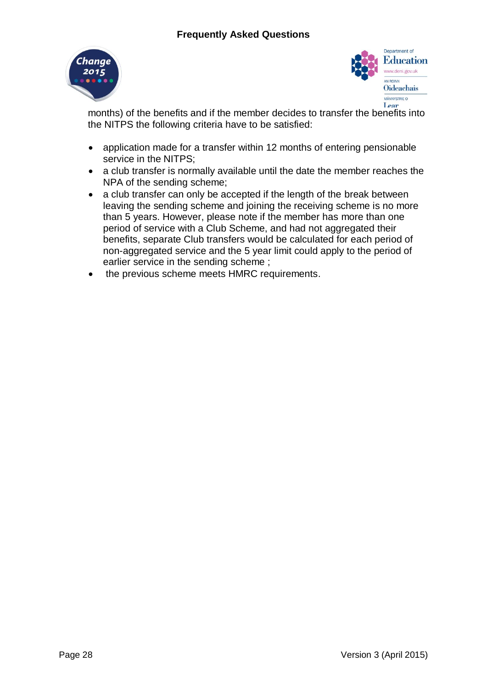



months) of the benefits and if the member decides to transfer the benefits into the NITPS the following criteria have to be satisfied:

- application made for a transfer within 12 months of entering pensionable service in the NITPS;
- a club transfer is normally available until the date the member reaches the NPA of the sending scheme;
- a club transfer can only be accepted if the length of the break between leaving the sending scheme and joining the receiving scheme is no more than 5 years. However, please note if the member has more than one period of service with a Club Scheme, and had not aggregated their benefits, separate Club transfers would be calculated for each period of non-aggregated service and the 5 year limit could apply to the period of earlier service in the sending scheme ;
- the previous scheme meets HMRC requirements.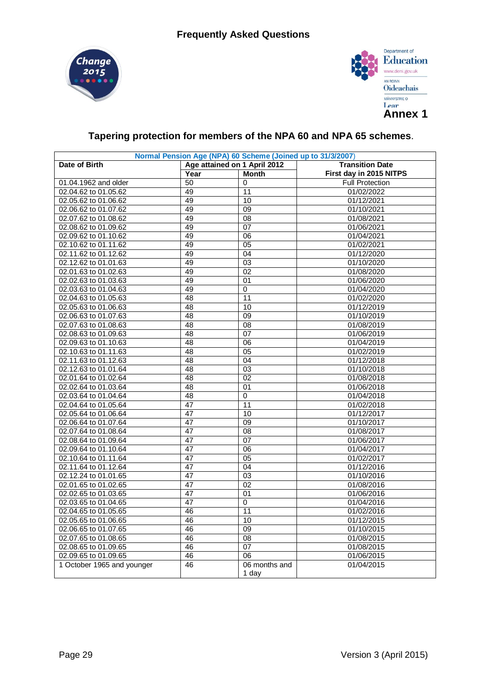



# **Tapering protection for members of the NPA 60 and NPA 65 schemes**.

| Normal Pension Age (NPA) 60 Scheme (Joined up to 31/3/2007) |                              |                 |                         |  |  |  |  |
|-------------------------------------------------------------|------------------------------|-----------------|-------------------------|--|--|--|--|
| Date of Birth                                               | Age attained on 1 April 2012 |                 | <b>Transition Date</b>  |  |  |  |  |
|                                                             | Year                         | <b>Month</b>    | First day in 2015 NITPS |  |  |  |  |
| 01.04.1962 and older                                        | 50                           | 0               | <b>Full Protection</b>  |  |  |  |  |
| 02.04.62 to 01.05.62                                        | 49                           | 11              | 01/02/2022              |  |  |  |  |
| 02.05.62 to 01.06.62                                        | 49                           | 10              | 01/12/2021              |  |  |  |  |
| 02.06.62 to 01.07.62                                        | 49                           | 09              | 01/10/2021              |  |  |  |  |
| 02.07.62 to 01.08.62                                        | 49                           | 08              | 01/08/2021              |  |  |  |  |
| 02.08.62 to 01.09.62                                        | 49                           | 07              | 01/06/2021              |  |  |  |  |
| 02.09.62 to 01.10.62                                        | 49                           | 06              | 01/04/2021              |  |  |  |  |
| 02.10.62 to 01.11.62                                        | 49                           | 05              | 01/02/2021              |  |  |  |  |
| 02.11.62 to 01.12.62                                        | 49                           | 04              | 01/12/2020              |  |  |  |  |
| 02.12.62 to 01.01.63                                        | 49                           | 03              | 01/10/2020              |  |  |  |  |
| 02.01.63 to 01.02.63                                        | 49                           | 02              | 01/08/2020              |  |  |  |  |
| 02.02.63 to 01.03.63                                        | 49                           | $\overline{01}$ | 01/06/2020              |  |  |  |  |
| 02.03.63 to 01.04.63                                        | 49                           | 0               | 01/04/2020              |  |  |  |  |
| 02.04.63 to 01.05.63                                        | 48                           | 11              | 01/02/2020              |  |  |  |  |
| 02.05.63 to 01.06.63                                        | 48                           | 10              | 01/12/2019              |  |  |  |  |
| 02.06.63 to 01.07.63                                        | $\overline{48}$              | 09              | 01/10/2019              |  |  |  |  |
| 02.07.63 to 01.08.63                                        | 48                           | 08              | 01/08/2019              |  |  |  |  |
| 02.08.63 to 01.09.63                                        | 48                           | 07              | 01/06/2019              |  |  |  |  |
| 02.09.63 to 01.10.63                                        | 48                           | 06              | 01/04/2019              |  |  |  |  |
| 02.10.63 to 01.11.63                                        | 48                           | 05              | 01/02/2019              |  |  |  |  |
| 02.11.63 to 01.12.63                                        | 48                           | 04              | 01/12/2018              |  |  |  |  |
| 02.12.63 to 01.01.64                                        | 48                           | 03              | 01/10/2018              |  |  |  |  |
| 02.01.64 to 01.02.64                                        | 48                           | 02              | 01/08/2018              |  |  |  |  |
| 02.02.64 to 01.03.64                                        | 48                           | 01              | 01/06/2018              |  |  |  |  |
| 02.03.64 to 01.04.64                                        | 48                           | $\overline{0}$  | 01/04/2018              |  |  |  |  |
| 02.04.64 to 01.05.64                                        | 47                           | 11              | 01/02/2018              |  |  |  |  |
| 02.05.64 to 01.06.64                                        | 47                           | 10              | 01/12/2017              |  |  |  |  |
| 02.06.64 to 01.07.64                                        | $\overline{47}$              | 09              | 01/10/2017              |  |  |  |  |
| 02.07.64 to 01.08.64                                        | 47                           | 08              | 01/08/2017              |  |  |  |  |
| 02.08.64 to 01.09.64                                        | 47                           | 07              | 01/06/2017              |  |  |  |  |
| 02.09.64 to 01.10.64                                        | 47                           | 06              | 01/04/2017              |  |  |  |  |
| 02.10.64 to 01.11.64                                        | 47                           | 05              | 01/02/2017              |  |  |  |  |
| 02.11.64 to 01.12.64                                        | 47                           | 04              | 01/12/2016              |  |  |  |  |
| 02.12.24 to 01.01.65                                        | 47                           | 03              | 01/10/2016              |  |  |  |  |
| 02.01.65 to 01.02.65                                        | 47                           | 02              | 01/08/2016              |  |  |  |  |
| 02.02.65 to 01.03.65                                        | 47                           | 01              | 01/06/2016              |  |  |  |  |
| 02.03.65 to 01.04.65                                        | $\overline{47}$              | 0               | 01/04/2016              |  |  |  |  |
| 02.04.65 to 01.05.65                                        | 46                           | 11              | 01/02/2016              |  |  |  |  |
| 02.05.65 to 01.06.65                                        | 46                           | 10              | 01/12/2015              |  |  |  |  |
| 02.06.65 to 01.07.65                                        | 46                           | 09              | 01/10/2015              |  |  |  |  |
| 02.07.65 to 01.08.65                                        | 46                           | 08              | 01/08/2015              |  |  |  |  |
| 02.08.65 to 01.09.65                                        | 46                           | $\overline{07}$ | 01/08/2015              |  |  |  |  |
| 02.09.65 to 01.09.65                                        | 46                           | $\overline{06}$ | 01/06/2015              |  |  |  |  |
| 1 October 1965 and younger                                  | 46                           | 06 months and   | 01/04/2015              |  |  |  |  |
|                                                             |                              | 1 day           |                         |  |  |  |  |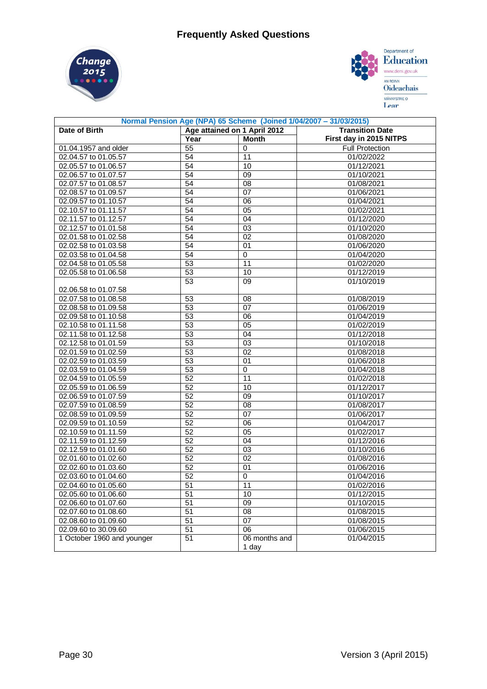



| Normal Pension Age (NPA) 65 Scheme (Joined 1/04/2007 - 31/03/2015) |                 |                              |                         |  |  |  |  |
|--------------------------------------------------------------------|-----------------|------------------------------|-------------------------|--|--|--|--|
| Date of Birth                                                      |                 | Age attained on 1 April 2012 | <b>Transition Date</b>  |  |  |  |  |
|                                                                    | Year            | <b>Month</b>                 | First day in 2015 NITPS |  |  |  |  |
| 01.04.1957 and older                                               | 55              | $\mathbf 0$                  | <b>Full Protection</b>  |  |  |  |  |
| 02.04.57 to 01.05.57                                               | 54              | 11                           | 01/02/2022              |  |  |  |  |
| 02.05.57 to 01.06.57                                               | 54              | 10                           | 01/12/2021              |  |  |  |  |
| 02.06.57 to 01.07.57                                               | 54              | 09                           | 01/10/2021              |  |  |  |  |
| 02.07.57 to 01.08.57                                               | 54              | 08                           | 01/08/2021              |  |  |  |  |
| 02.08.57 to 01.09.57                                               | 54              | 07                           | 01/06/2021              |  |  |  |  |
| 02.09.57 to 01.10.57                                               | 54              | 06                           | 01/04/2021              |  |  |  |  |
| 02.10.57 to 01.11.57                                               | 54              | 05                           | 01/02/2021              |  |  |  |  |
| 02.11.57 to 01.12.57                                               | 54              | 04                           | 01/12/2020              |  |  |  |  |
| 02.12.57 to 01.01.58                                               | 54              | 03                           | 01/10/2020              |  |  |  |  |
| 02.01.58 to 01.02.58                                               | $\overline{54}$ | $\overline{02}$              | 01/08/2020              |  |  |  |  |
| 02.02.58 to 01.03.58                                               | 54              | 01                           | 01/06/2020              |  |  |  |  |
| 02.03.58 to 01.04.58                                               | 54              | 0                            | 01/04/2020              |  |  |  |  |
| 02.04.58 to 01.05.58                                               | 53              | 11                           | 01/02/2020              |  |  |  |  |
| 02.05.58 to 01.06.58                                               | $\overline{53}$ | 10                           | 01/12/2019              |  |  |  |  |
|                                                                    | 53              | 09                           | 01/10/2019              |  |  |  |  |
| 02.06.58 to 01.07.58                                               |                 |                              |                         |  |  |  |  |
| 02.07.58 to 01.08.58                                               | 53              | 08                           | 01/08/2019              |  |  |  |  |
| 02.08.58 to 01.09.58                                               | 53              | $\overline{07}$              | 01/06/2019              |  |  |  |  |
| 02.09.58 to 01.10.58                                               | 53              | $\overline{06}$              | 01/04/2019              |  |  |  |  |
| 02.10.58 to 01.11.58                                               | 53              | $\overline{05}$              | 01/02/2019              |  |  |  |  |
| 02.11.58 to 01.12.58                                               | 53              | 04                           | 01/12/2018              |  |  |  |  |
| 02.12.58 to 01.01.59                                               | 53              | 03                           | 01/10/2018              |  |  |  |  |
| 02.01.59 to 01.02.59                                               | 53              | 02                           | 01/08/2018              |  |  |  |  |
| 02.02.59 to 01.03.59                                               | 53              | 01                           | 01/06/2018              |  |  |  |  |
| 02.03.59 to 01.04.59                                               | 53              | $\Omega$                     | 01/04/2018              |  |  |  |  |
| 02.04.59 to 01.05.59                                               | 52              | 11                           | 01/02/2018              |  |  |  |  |
| 02.05.59 to 01.06.59                                               | 52              | 10                           | 01/12/2017              |  |  |  |  |
| 02.06.59 to 01.07.59                                               | 52              | 09                           | 01/10/2017              |  |  |  |  |
| 02.07.59 to 01.08.59                                               | 52              | 08                           | 01/08/2017              |  |  |  |  |
| 02.08.59 to 01.09.59                                               | 52              | 07                           | 01/06/2017              |  |  |  |  |
| 02.09.59 to 01.10.59                                               | 52              | $\overline{06}$              | 01/04/2017              |  |  |  |  |
| 02.10.59 to 01.11.59                                               | 52              | 05                           | 01/02/2017              |  |  |  |  |
| 02.11.59 to 01.12.59                                               | 52              | 04                           | 01/12/2016              |  |  |  |  |
| 02.12.59 to 01.01.60                                               | 52              | 03                           | 01/10/2016              |  |  |  |  |
| 02.01.60 to 01.02.60                                               | 52              | 02                           | 01/08/2016              |  |  |  |  |
| 02.02.60 to 01.03.60                                               | 52              | 01                           | 01/06/2016              |  |  |  |  |
| 02.03.60 to 01.04.60                                               | 52              | 0                            | 01/04/2016              |  |  |  |  |
| 02.04.60 to 01.05.60                                               | 51              | 11                           | 01/02/2016              |  |  |  |  |
| 02.05.60 to 01.06.60                                               | 51              | 10                           | 01/12/2015              |  |  |  |  |
| 02.06.60 to 01.07.60                                               | 51              | 09                           | 01/10/2015              |  |  |  |  |
| 02.07.60 to 01.08.60                                               | 51              | 08                           | 01/08/2015              |  |  |  |  |
| 02.08.60 to 01.09.60                                               | $\overline{51}$ | 07                           | 01/08/2015              |  |  |  |  |
| 02.09.60 to 30.09.60                                               | 51              | 06                           | 01/06/2015              |  |  |  |  |
| 1 October 1960 and younger                                         | 51              | 06 months and                | 01/04/2015              |  |  |  |  |
|                                                                    |                 | 1 day                        |                         |  |  |  |  |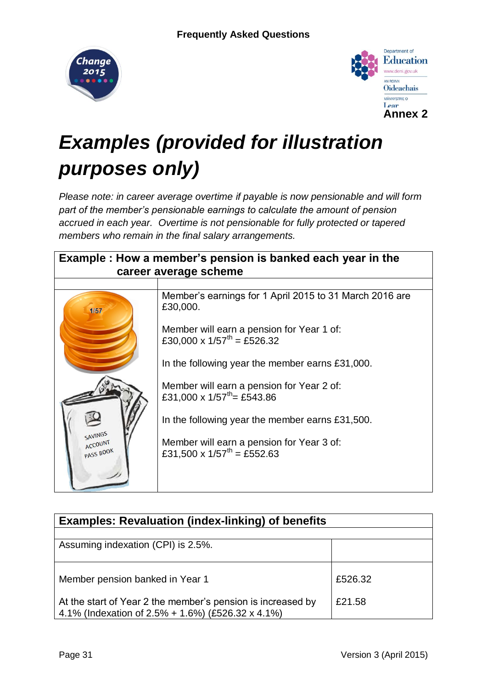



# *Examples (provided for illustration purposes only)*

*Please note: in career average overtime if payable is now pensionable and will form part of the member's pensionable earnings to calculate the amount of pension accrued in each year. Overtime is not pensionable for fully protected or tapered members who remain in the final salary arrangements.*

| Example : How a member's pension is banked each year in the |                                                                                       |  |  |  |  |  |  |
|-------------------------------------------------------------|---------------------------------------------------------------------------------------|--|--|--|--|--|--|
|                                                             | career average scheme                                                                 |  |  |  |  |  |  |
|                                                             |                                                                                       |  |  |  |  |  |  |
| 1/57                                                        | Member's earnings for 1 April 2015 to 31 March 2016 are<br>£30,000.                   |  |  |  |  |  |  |
|                                                             | Member will earn a pension for Year 1 of:<br>£30,000 x $1/57^{th}$ = £526.32          |  |  |  |  |  |  |
|                                                             | In the following year the member earns £31,000.                                       |  |  |  |  |  |  |
|                                                             | Member will earn a pension for Year 2 of:<br>£31,000 x $1/57$ <sup>th</sup> = £543.86 |  |  |  |  |  |  |
|                                                             | In the following year the member earns £31,500.                                       |  |  |  |  |  |  |
| SAVINGS<br>ACCOUNT<br>PASS BOOK                             | Member will earn a pension for Year 3 of:<br>£31,500 x $1/57^{th}$ = £552.63          |  |  |  |  |  |  |
|                                                             |                                                                                       |  |  |  |  |  |  |

| <b>Examples: Revaluation (index-linking) of benefits</b>                                                         |         |  |  |  |  |
|------------------------------------------------------------------------------------------------------------------|---------|--|--|--|--|
|                                                                                                                  |         |  |  |  |  |
| Assuming indexation (CPI) is 2.5%.                                                                               |         |  |  |  |  |
|                                                                                                                  |         |  |  |  |  |
| Member pension banked in Year 1                                                                                  | £526.32 |  |  |  |  |
| At the start of Year 2 the member's pension is increased by<br>4.1% (Indexation of 2.5% + 1.6%) (£526.32 x 4.1%) | £21.58  |  |  |  |  |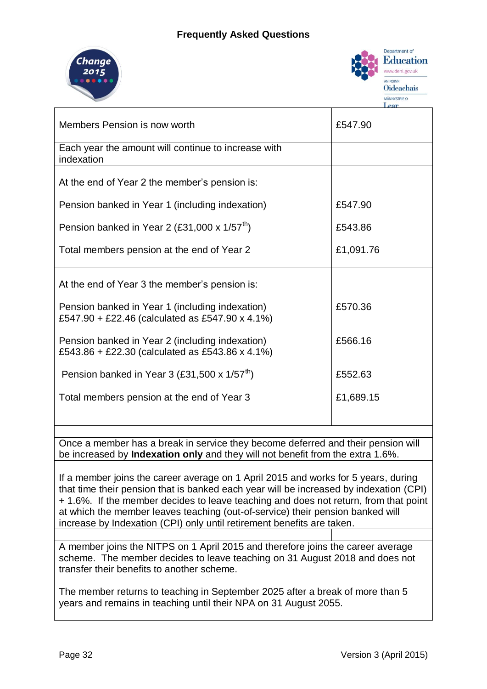# **Frequently Asked Questions**





| Members Pension is now worth                                                                       | £547.90   |
|----------------------------------------------------------------------------------------------------|-----------|
| Each year the amount will continue to increase with<br>indexation                                  |           |
| At the end of Year 2 the member's pension is:                                                      |           |
| Pension banked in Year 1 (including indexation)                                                    | £547.90   |
| Pension banked in Year 2 (£31,000 x $1/57^{th}$ )                                                  | £543.86   |
| Total members pension at the end of Year 2                                                         | £1,091.76 |
| At the end of Year 3 the member's pension is:                                                      |           |
| Pension banked in Year 1 (including indexation)<br>£547.90 + £22.46 (calculated as £547.90 x 4.1%) | £570.36   |
| Pension banked in Year 2 (including indexation)<br>£543.86 + £22.30 (calculated as £543.86 x 4.1%) | £566.16   |
| Pension banked in Year 3 (£31,500 x $1/57^{th}$ )                                                  | £552.63   |
| Total members pension at the end of Year 3                                                         | £1,689.15 |
|                                                                                                    |           |

Once a member has a break in service they become deferred and their pension will be increased by **Indexation only** and they will not benefit from the extra 1.6%.

If a member joins the career average on 1 April 2015 and works for 5 years, during that time their pension that is banked each year will be increased by indexation (CPI) + 1.6%. If the member decides to leave teaching and does not return, from that point at which the member leaves teaching (out-of-service) their pension banked will increase by Indexation (CPI) only until retirement benefits are taken.

A member joins the NITPS on 1 April 2015 and therefore joins the career average scheme. The member decides to leave teaching on 31 August 2018 and does not transfer their benefits to another scheme.

The member returns to teaching in September 2025 after a break of more than 5 years and remains in teaching until their NPA on 31 August 2055.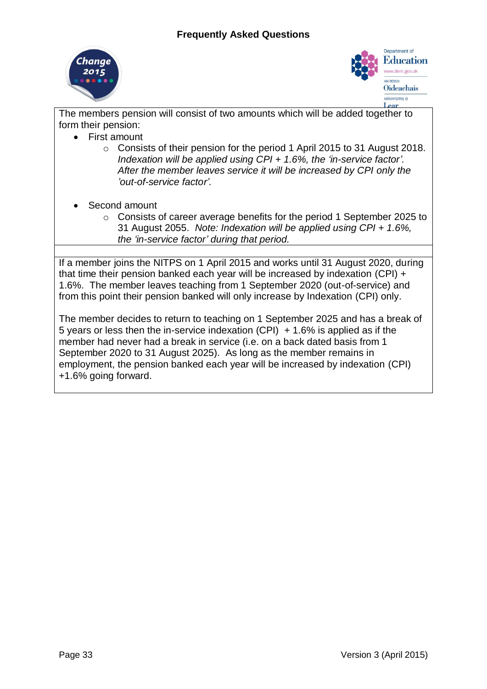



The members pension will consist of two amounts which will be added together to form their pension:

- First amount
	- o Consists of their pension for the period 1 April 2015 to 31 August 2018. *Indexation will be applied using CPI + 1.6%, the 'in-service factor'. After the member leaves service it will be increased by CPI only the 'out-of-service factor'.*
- Second amount
	- o Consists of career average benefits for the period 1 September 2025 to 31 August 2055. *Note: Indexation will be applied using CPI + 1.6%, the 'in-service factor' during that period.*

If a member joins the NITPS on 1 April 2015 and works until 31 August 2020, during that time their pension banked each year will be increased by indexation (CPI) + 1.6%. The member leaves teaching from 1 September 2020 (out-of-service) and from this point their pension banked will only increase by Indexation (CPI) only.

The member decides to return to teaching on 1 September 2025 and has a break of 5 years or less then the in-service indexation  $(CPI)$  + 1.6% is applied as if the member had never had a break in service (i.e. on a back dated basis from 1 September 2020 to 31 August 2025). As long as the member remains in employment, the pension banked each year will be increased by indexation (CPI) +1.6% going forward.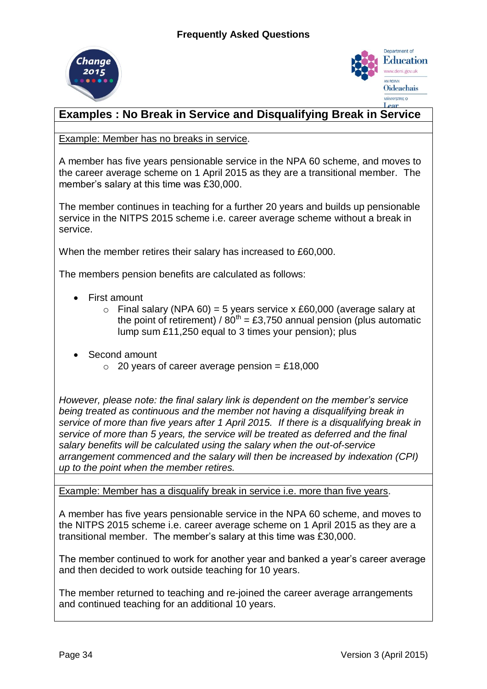



# **Examples : No Break in Service and Disqualifying Break in Service**

Example: Member has no breaks in service.

A member has five years pensionable service in the NPA 60 scheme, and moves to the career average scheme on 1 April 2015 as they are a transitional member. The member's salary at this time was £30,000.

The member continues in teaching for a further 20 years and builds up pensionable service in the NITPS 2015 scheme i.e. career average scheme without a break in service.

When the member retires their salary has increased to £60,000.

The members pension benefits are calculated as follows:

- First amount
	- $\circ$  Final salary (NPA 60) = 5 years service x £60,000 (average salary at the point of retirement) /  $80^{th}$  = £3,750 annual pension (plus automatic lump sum £11,250 equal to 3 times your pension); plus
- Second amount
	- $\circ$  20 years of career average pension = £18,000

*However, please note: the final salary link is dependent on the member's service being treated as continuous and the member not having a disqualifying break in service of more than five years after 1 April 2015. If there is a disqualifying break in service of more than 5 years, the service will be treated as deferred and the final salary benefits will be calculated using the salary when the out-of-service arrangement commenced and the salary will then be increased by indexation (CPI) up to the point when the member retires.*

Example: Member has a disqualify break in service i.e. more than five years.

A member has five years pensionable service in the NPA 60 scheme, and moves to the NITPS 2015 scheme i.e. career average scheme on 1 April 2015 as they are a transitional member. The member's salary at this time was £30,000.

The member continued to work for another year and banked a year's career average and then decided to work outside teaching for 10 years.

The member returned to teaching and re-joined the career average arrangements and continued teaching for an additional 10 years.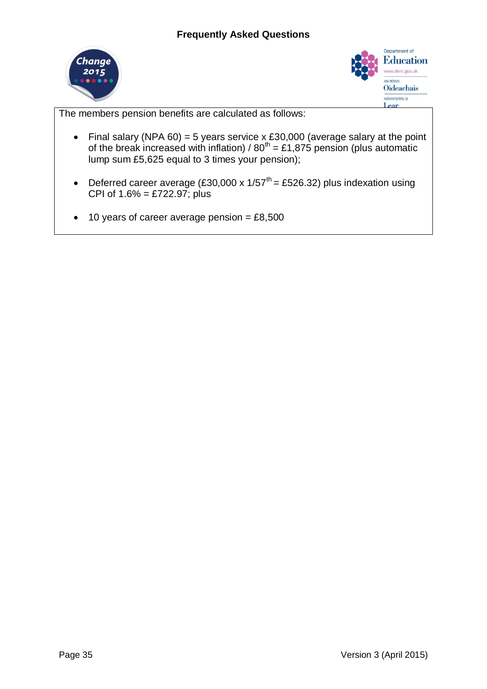



The members pension benefits are calculated as follows:

- Final salary (NPA  $60$ ) = 5 years service x £30,000 (average salary at the point of the break increased with inflation) /  $80^{th} = \text{\textsterling}1,875$  pension (plus automatic lump sum £5,625 equal to 3 times your pension);
- Deferred career average (£30,000 x  $1/57^{\text{th}} = \text{\textsterling}526.32$ ) plus indexation using CPI of 1.6% = £722.97; plus
- $\bullet$  10 years of career average pension = £8,500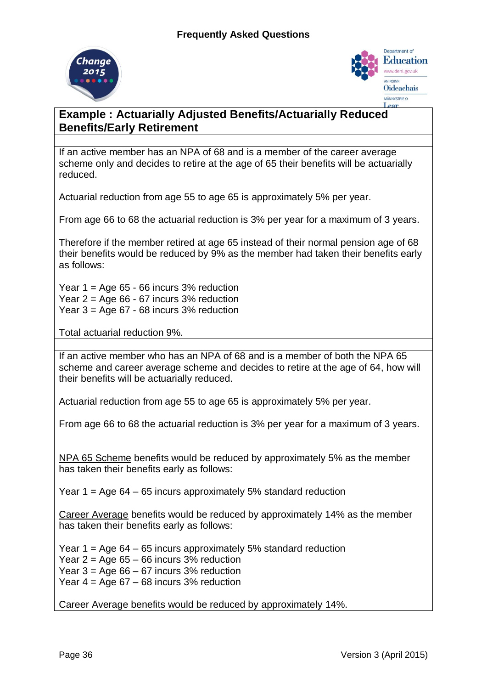



# **Example : Actuarially Adjusted Benefits/Actuarially Reduced Benefits/Early Retirement**

If an active member has an NPA of 68 and is a member of the career average scheme only and decides to retire at the age of 65 their benefits will be actuarially reduced.

Actuarial reduction from age 55 to age 65 is approximately 5% per year.

From age 66 to 68 the actuarial reduction is 3% per year for a maximum of 3 years.

Therefore if the member retired at age 65 instead of their normal pension age of 68 their benefits would be reduced by 9% as the member had taken their benefits early as follows:

Year  $1 = \text{Age } 65 - 66$  incurs  $3\%$  reduction Year  $2 = Age 66 - 67$  incurs  $3%$  reduction Year 3 = Age 67 - 68 incurs 3% reduction

Total actuarial reduction 9%.

If an active member who has an NPA of 68 and is a member of both the NPA 65 scheme and career average scheme and decides to retire at the age of 64, how will their benefits will be actuarially reduced.

Actuarial reduction from age 55 to age 65 is approximately 5% per year.

From age 66 to 68 the actuarial reduction is 3% per year for a maximum of 3 years.

NPA 65 Scheme benefits would be reduced by approximately 5% as the member has taken their benefits early as follows:

Year  $1 = Age 64 - 65$  incurs approximately 5% standard reduction

Career Average benefits would be reduced by approximately 14% as the member has taken their benefits early as follows:

Year  $1 = Age 64 - 65$  incurs approximately 5% standard reduction Year  $2 = A$ ge 65 – 66 incurs 3% reduction Year  $3 = \text{Age } 66 - 67$  incurs  $3\%$  reduction Year  $4 = \text{Age } 67 - 68$  incurs 3% reduction

Career Average benefits would be reduced by approximately 14%.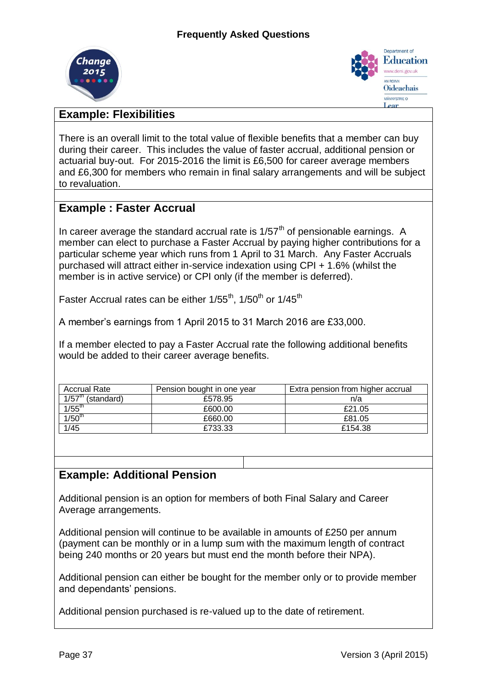



# **Example: Flexibilities**

There is an overall limit to the total value of flexible benefits that a member can buy during their career. This includes the value of faster accrual, additional pension or actuarial buy-out. For 2015-2016 the limit is £6,500 for career average members and £6,300 for members who remain in final salary arrangements and will be subject to revaluation.

# **Example : Faster Accrual**

In career average the standard accrual rate is  $1/57<sup>th</sup>$  of pensionable earnings. A member can elect to purchase a Faster Accrual by paying higher contributions for a particular scheme year which runs from 1 April to 31 March. Any Faster Accruals purchased will attract either in-service indexation using CPI + 1.6% (whilst the member is in active service) or CPI only (if the member is deferred).

Faster Accrual rates can be either  $1/55^{th}$ ,  $1/50^{th}$  or  $1/45^{th}$ 

A member's earnings from 1 April 2015 to 31 March 2016 are £33,000.

If a member elected to pay a Faster Accrual rate the following additional benefits would be added to their career average benefits.

| <b>Accrual Rate</b>      | Pension bought in one year | Extra pension from higher accrual |
|--------------------------|----------------------------|-----------------------------------|
| $1/57^{m}$<br>(standard) | £578.95                    | n/a                               |
| $1/55$ <sup>th</sup>     | £600.00                    | £21.05                            |
| 1/50 <sup>th</sup>       | £660.00                    | £81.05                            |
| 1/45                     | £733.33                    | £154.38                           |

# **Example: Additional Pension**

Additional pension is an option for members of both Final Salary and Career Average arrangements.

Additional pension will continue to be available in amounts of £250 per annum (payment can be monthly or in a lump sum with the maximum length of contract being 240 months or 20 years but must end the month before their NPA).

Additional pension can either be bought for the member only or to provide member and dependants' pensions.

Additional pension purchased is re-valued up to the date of retirement.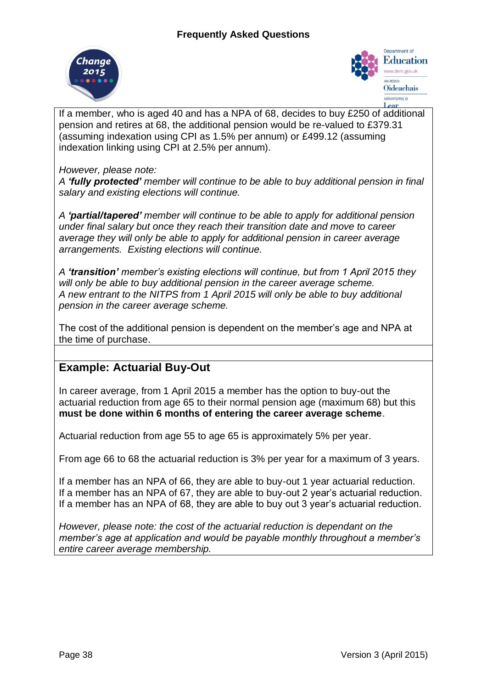



If a member, who is aged 40 and has a NPA of 68, decides to buy £250 of additional pension and retires at 68, the additional pension would be re-valued to £379.31 (assuming indexation using CPI as 1.5% per annum) or £499.12 (assuming indexation linking using CPI at 2.5% per annum).

## *However, please note:*

*A 'fully protected' member will continue to be able to buy additional pension in final salary and existing elections will continue.* 

*A 'partial/tapered' member will continue to be able to apply for additional pension under final salary but once they reach their transition date and move to career average they will only be able to apply for additional pension in career average arrangements. Existing elections will continue.*

*A 'transition' member's existing elections will continue, but from 1 April 2015 they will only be able to buy additional pension in the career average scheme. A new entrant to the NITPS from 1 April 2015 will only be able to buy additional pension in the career average scheme.*

The cost of the additional pension is dependent on the member's age and NPA at the time of purchase.

# **Example: Actuarial Buy-Out**

In career average, from 1 April 2015 a member has the option to buy-out the actuarial reduction from age 65 to their normal pension age (maximum 68) but this **must be done within 6 months of entering the career average scheme**.

Actuarial reduction from age 55 to age 65 is approximately 5% per year.

From age 66 to 68 the actuarial reduction is 3% per year for a maximum of 3 years.

If a member has an NPA of 66, they are able to buy-out 1 year actuarial reduction. If a member has an NPA of 67, they are able to buy-out 2 year's actuarial reduction. If a member has an NPA of 68, they are able to buy out 3 year's actuarial reduction.

*However, please note: the cost of the actuarial reduction is dependant on the member's age at application and would be payable monthly throughout a member's entire career average membership.*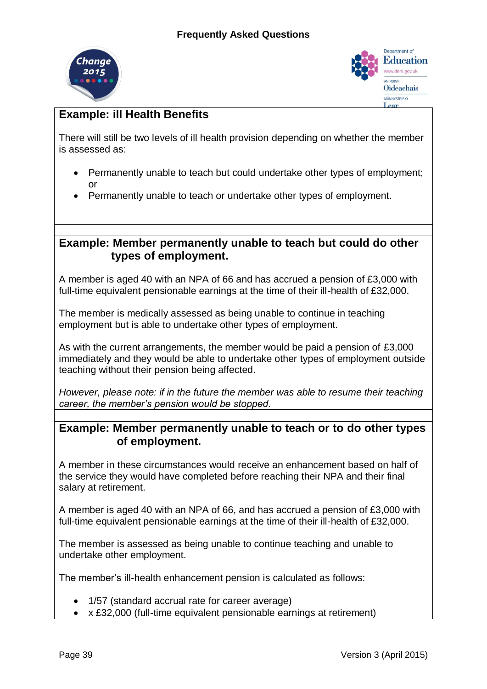



# **Example: ill Health Benefits**

There will still be two levels of ill health provision depending on whether the member is assessed as:

- Permanently unable to teach but could undertake other types of employment; or
- Permanently unable to teach or undertake other types of employment.

# **Example: Member permanently unable to teach but could do other types of employment.**

A member is aged 40 with an NPA of 66 and has accrued a pension of £3,000 with full-time equivalent pensionable earnings at the time of their ill-health of £32,000.

The member is medically assessed as being unable to continue in teaching employment but is able to undertake other types of employment.

As with the current arrangements, the member would be paid a pension of £3,000 immediately and they would be able to undertake other types of employment outside teaching without their pension being affected.

*However, please note: if in the future the member was able to resume their teaching career, the member's pension would be stopped.* 

# **Example: Member permanently unable to teach or to do other types of employment.**

A member in these circumstances would receive an enhancement based on half of the service they would have completed before reaching their NPA and their final salary at retirement.

A member is aged 40 with an NPA of 66, and has accrued a pension of £3,000 with full-time equivalent pensionable earnings at the time of their ill-health of £32,000.

The member is assessed as being unable to continue teaching and unable to undertake other employment.

The member's ill-health enhancement pension is calculated as follows:

- 1/57 (standard accrual rate for career average)
- x £32,000 (full-time equivalent pensionable earnings at retirement)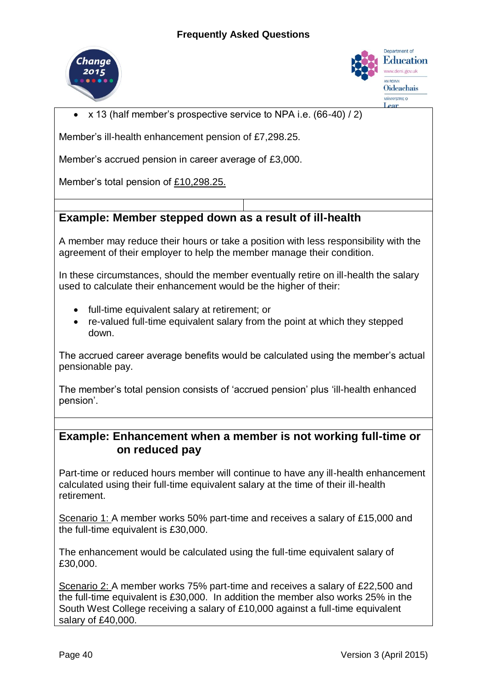



x 13 (half member's prospective service to NPA i.e. (66-40) / 2)

Member's ill-health enhancement pension of £7,298.25.

Member's accrued pension in career average of £3,000.

Member's total pension of £10,298.25.

# **Example: Member stepped down as a result of ill-health**

A member may reduce their hours or take a position with less responsibility with the agreement of their employer to help the member manage their condition.

In these circumstances, should the member eventually retire on ill-health the salary used to calculate their enhancement would be the higher of their:

- full-time equivalent salary at retirement; or
- re-valued full-time equivalent salary from the point at which they stepped down.

The accrued career average benefits would be calculated using the member's actual pensionable pay.

The member's total pension consists of 'accrued pension' plus 'ill-health enhanced pension'.

# **Example: Enhancement when a member is not working full-time or on reduced pay**

Part-time or reduced hours member will continue to have any ill-health enhancement calculated using their full-time equivalent salary at the time of their ill-health retirement.

Scenario 1: A member works 50% part-time and receives a salary of £15,000 and the full-time equivalent is £30,000.

The enhancement would be calculated using the full-time equivalent salary of £30,000.

Scenario 2: A member works 75% part-time and receives a salary of £22,500 and the full-time equivalent is £30,000. In addition the member also works 25% in the South West College receiving a salary of £10,000 against a full-time equivalent salary of £40,000.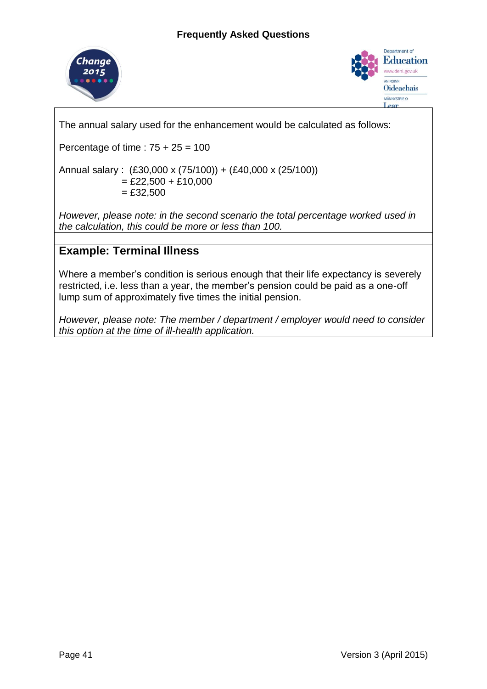



The annual salary used for the enhancement would be calculated as follows:

Percentage of time :  $75 + 25 = 100$ 

Annual salary : (£30,000 x (75/100)) + (£40,000 x (25/100))

 $=$  £22,500 + £10,000  $=$  £32,500

*However, please note: in the second scenario the total percentage worked used in the calculation, this could be more or less than 100.* 

# **Example: Terminal Illness**

Where a member's condition is serious enough that their life expectancy is severely restricted, i.e. less than a year, the member's pension could be paid as a one-off lump sum of approximately five times the initial pension.

*However, please note: The member / department / employer would need to consider this option at the time of ill-health application.*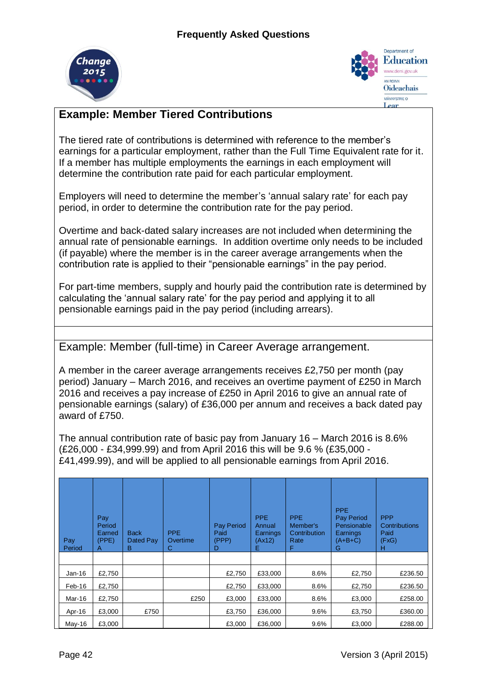



# **Example: Member Tiered Contributions**

The tiered rate of contributions is determined with reference to the member's earnings for a particular employment, rather than the Full Time Equivalent rate for it. If a member has multiple employments the earnings in each employment will determine the contribution rate paid for each particular employment.

Employers will need to determine the member's 'annual salary rate' for each pay period, in order to determine the contribution rate for the pay period.

Overtime and back-dated salary increases are not included when determining the annual rate of pensionable earnings. In addition overtime only needs to be included (if payable) where the member is in the career average arrangements when the contribution rate is applied to their "pensionable earnings" in the pay period.

For part-time members, supply and hourly paid the contribution rate is determined by calculating the 'annual salary rate' for the pay period and applying it to all pensionable earnings paid in the pay period (including arrears).

Example: Member (full-time) in Career Average arrangement.

A member in the career average arrangements receives £2,750 per month (pay period) January – March 2016, and receives an overtime payment of £250 in March 2016 and receives a pay increase of £250 in April 2016 to give an annual rate of pensionable earnings (salary) of £36,000 per annum and receives a back dated pay award of £750.

The annual contribution rate of basic pay from January 16 – March 2016 is 8.6% (£26,000 - £34,999.99) and from April 2016 this will be 9.6 % (£35,000 - £41,499.99), and will be applied to all pensionable earnings from April 2016.

| Pay<br>Period | Pay<br>Period<br>Earned<br>(PPE)<br>A | <b>Back</b><br>Dated Pay<br>в | PPE.<br>Overtime<br>С | <b>Pay Period</b><br>Paid<br>(PPP)<br>D | <b>PPE</b><br>Annual<br>Earnings<br>(Ax12)<br>E. | <b>PPE</b><br>Member's<br>Contribution<br>Rate<br>F | <b>PPE</b><br>Pay Period<br>Pensionable<br>Earnings<br>$(A+B+C)$<br>G | <b>PPP</b><br><b>Contributions</b><br>Paid<br>(FxG)<br>н |
|---------------|---------------------------------------|-------------------------------|-----------------------|-----------------------------------------|--------------------------------------------------|-----------------------------------------------------|-----------------------------------------------------------------------|----------------------------------------------------------|
|               |                                       |                               |                       |                                         |                                                  |                                                     |                                                                       |                                                          |
| $Jan-16$      | £2,750                                |                               |                       | £2,750                                  | £33,000                                          | 8.6%                                                | £2,750                                                                | £236.50                                                  |
| Feb-16        | £2,750                                |                               |                       | £2,750                                  | £33,000                                          | 8.6%                                                | £2,750                                                                | £236.50                                                  |
| Mar-16        | £2,750                                |                               | £250                  | £3,000                                  | £33,000                                          | 8.6%                                                | £3,000                                                                | £258.00                                                  |
| Apr-16        | £3,000                                | £750                          |                       | £3,750                                  | £36,000                                          | 9.6%                                                | £3,750                                                                | £360.00                                                  |
| May-16        | £3,000                                |                               |                       | £3,000                                  | £36,000                                          | 9.6%                                                | £3,000                                                                | £288.00                                                  |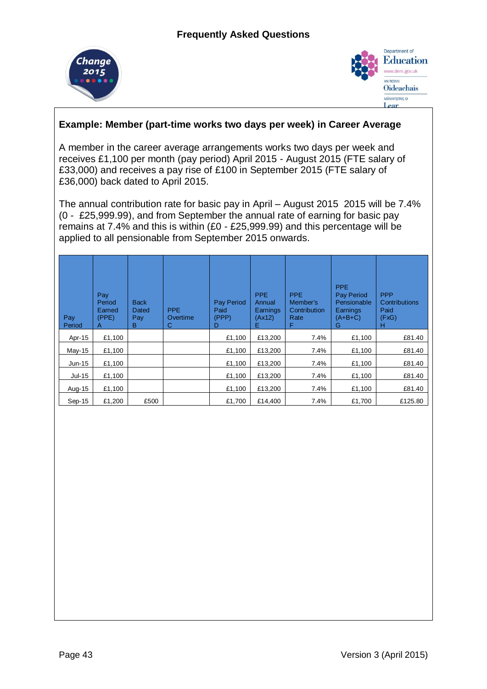



## **Example: Member (part-time works two days per week) in Career Average**

A member in the career average arrangements works two days per week and receives £1,100 per month (pay period) April 2015 - August 2015 (FTE salary of £33,000) and receives a pay rise of £100 in September 2015 (FTE salary of £36,000) back dated to April 2015.

The annual contribution rate for basic pay in April – August 2015 2015 will be 7.4% (0 - £25,999.99), and from September the annual rate of earning for basic pay remains at 7.4% and this is within (£0 - £25,999.99) and this percentage will be applied to all pensionable from September 2015 onwards.

| Pay<br>Period | Pay<br>Period<br>Earned<br>(PPE)<br>Α | <b>Back</b><br>Dated<br>Pay<br>B | <b>PPE</b><br>Overtime<br>C | <b>Pay Period</b><br>Paid<br>(PPP)<br>D | <b>PPE</b><br>Annual<br>Earnings<br>(Ax12)<br>Е | <b>PPE</b><br>Member's<br>Contribution<br>Rate<br>F | <b>PPE</b><br>Pay Period<br>Pensionable<br>Earnings<br>$(A+B+C)$<br>G | <b>PPP</b><br>Contributions<br>Paid<br>(FxG)<br>н |
|---------------|---------------------------------------|----------------------------------|-----------------------------|-----------------------------------------|-------------------------------------------------|-----------------------------------------------------|-----------------------------------------------------------------------|---------------------------------------------------|
| Apr-15        | £1,100                                |                                  |                             | £1,100                                  | £13,200                                         | 7.4%                                                | £1,100                                                                | £81.40                                            |
| $May-15$      | £1,100                                |                                  |                             | £1,100                                  | £13,200                                         | 7.4%                                                | £1,100                                                                | £81.40                                            |
| $Jun-15$      | £1,100                                |                                  |                             | £1,100                                  | £13,200                                         | 7.4%                                                | £1,100                                                                | £81.40                                            |
| $Jul-15$      | £1,100                                |                                  |                             | £1,100                                  | £13,200                                         | 7.4%                                                | £1,100                                                                | £81.40                                            |
| Aug-15        | £1,100                                |                                  |                             | £1,100                                  | £13,200                                         | 7.4%                                                | £1,100                                                                | £81.40                                            |
| $Sep-15$      | £1,200                                | £500                             |                             | £1,700                                  | £14.400                                         | 7.4%                                                | £1,700                                                                | £125.80                                           |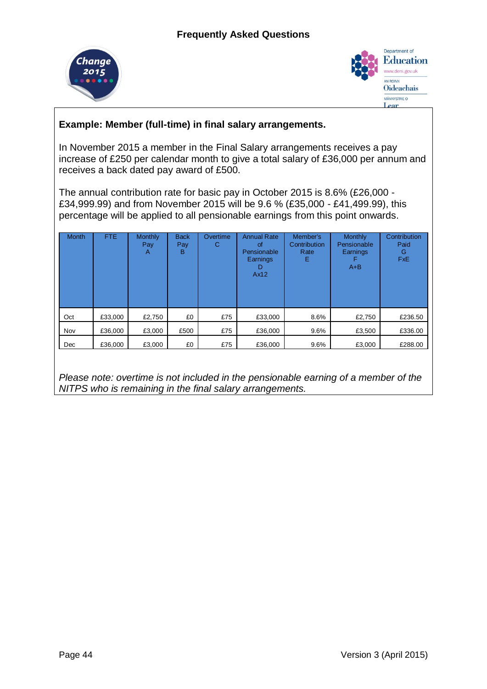



# **Example: Member (full-time) in final salary arrangements.**

In November 2015 a member in the Final Salary arrangements receives a pay increase of £250 per calendar month to give a total salary of £36,000 per annum and receives a back dated pay award of £500.

The annual contribution rate for basic pay in October 2015 is 8.6% (£26,000 - £34,999.99) and from November 2015 will be 9.6 % (£35,000 - £41,499.99), this percentage will be applied to all pensionable earnings from this point onwards.

| <b>Month</b> | <b>FTE</b> | Monthly<br>Pay<br>Α | <b>Back</b><br>Pay<br>в | Overtime<br>С | <b>Annual Rate</b><br>of<br>Pensionable<br>Earnings<br>D<br>Ax12 | Member's<br>Contribution<br>Rate<br>Е | <b>Monthly</b><br>Pensionable<br>Earnings<br>F<br>$A + B$ | Contribution<br>Paid<br>G<br><b>FxE</b> |
|--------------|------------|---------------------|-------------------------|---------------|------------------------------------------------------------------|---------------------------------------|-----------------------------------------------------------|-----------------------------------------|
| Oct          | £33,000    | £2,750              | £0                      | £75           | £33,000                                                          | 8.6%                                  | £2,750                                                    | £236.50                                 |
| Nov          | £36,000    | £3,000              | £500                    | £75           | £36,000                                                          | 9.6%                                  | £3,500                                                    | £336.00                                 |
| Dec          | £36,000    | £3,000              | £0                      | £75           | £36,000                                                          | 9.6%                                  | £3,000                                                    | £288.00                                 |

*Please note: overtime is not included in the pensionable earning of a member of the NITPS who is remaining in the final salary arrangements.*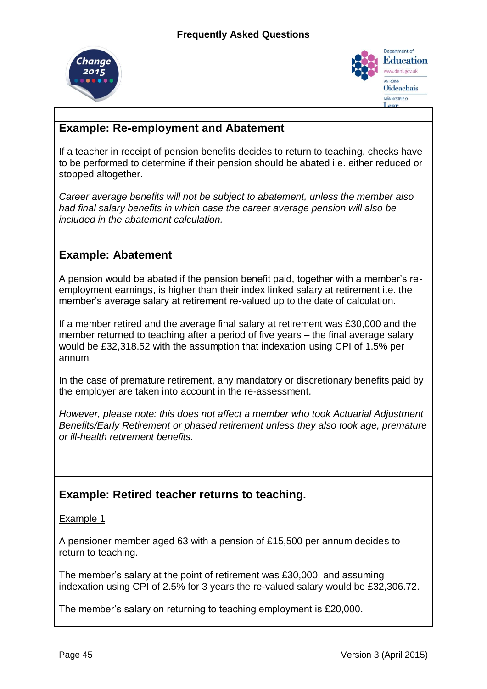



# **Example: Re-employment and Abatement**

If a teacher in receipt of pension benefits decides to return to teaching, checks have to be performed to determine if their pension should be abated i.e. either reduced or stopped altogether.

*Career average benefits will not be subject to abatement, unless the member also had final salary benefits in which case the career average pension will also be included in the abatement calculation.*

# **Example: Abatement**

A pension would be abated if the pension benefit paid, together with a member's reemployment earnings, is higher than their index linked salary at retirement i.e. the member's average salary at retirement re-valued up to the date of calculation.

If a member retired and the average final salary at retirement was £30,000 and the member returned to teaching after a period of five years – the final average salary would be £32,318.52 with the assumption that indexation using CPI of 1.5% per annum.

In the case of premature retirement, any mandatory or discretionary benefits paid by the employer are taken into account in the re-assessment.

*However, please note: this does not affect a member who took Actuarial Adjustment Benefits/Early Retirement or phased retirement unless they also took age, premature or ill-health retirement benefits.* 

# **Example: Retired teacher returns to teaching.**

Example 1

A pensioner member aged 63 with a pension of £15,500 per annum decides to return to teaching.

The member's salary at the point of retirement was £30,000, and assuming indexation using CPI of 2.5% for 3 years the re-valued salary would be £32,306.72.

The member's salary on returning to teaching employment is £20,000.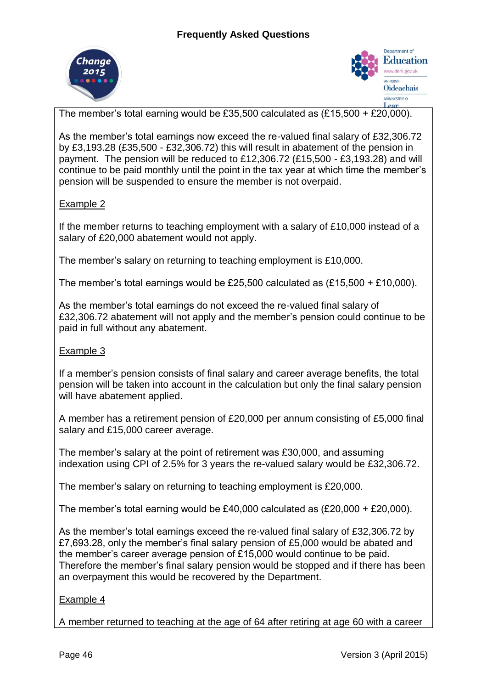



The member's total earning would be £35,500 calculated as (£15,500 + £20,000).

As the member's total earnings now exceed the re-valued final salary of £32,306.72 by £3,193.28 (£35,500 - £32,306.72) this will result in abatement of the pension in payment. The pension will be reduced to £12,306.72 (£15,500 - £3,193.28) and will continue to be paid monthly until the point in the tax year at which time the member's pension will be suspended to ensure the member is not overpaid.

## Example 2

If the member returns to teaching employment with a salary of £10,000 instead of a salary of £20,000 abatement would not apply.

The member's salary on returning to teaching employment is £10,000.

The member's total earnings would be £25,500 calculated as (£15,500 + £10,000).

As the member's total earnings do not exceed the re-valued final salary of £32,306.72 abatement will not apply and the member's pension could continue to be paid in full without any abatement.

## Example 3

If a member's pension consists of final salary and career average benefits, the total pension will be taken into account in the calculation but only the final salary pension will have abatement applied.

A member has a retirement pension of £20,000 per annum consisting of £5,000 final salary and £15,000 career average.

The member's salary at the point of retirement was £30,000, and assuming indexation using CPI of 2.5% for 3 years the re-valued salary would be £32,306.72.

The member's salary on returning to teaching employment is £20,000.

The member's total earning would be £40,000 calculated as (£20,000 + £20,000).

As the member's total earnings exceed the re-valued final salary of £32,306.72 by £7,693.28, only the member's final salary pension of £5,000 would be abated and the member's career average pension of £15,000 would continue to be paid. Therefore the member's final salary pension would be stopped and if there has been an overpayment this would be recovered by the Department.

## Example 4

A member returned to teaching at the age of 64 after retiring at age 60 with a career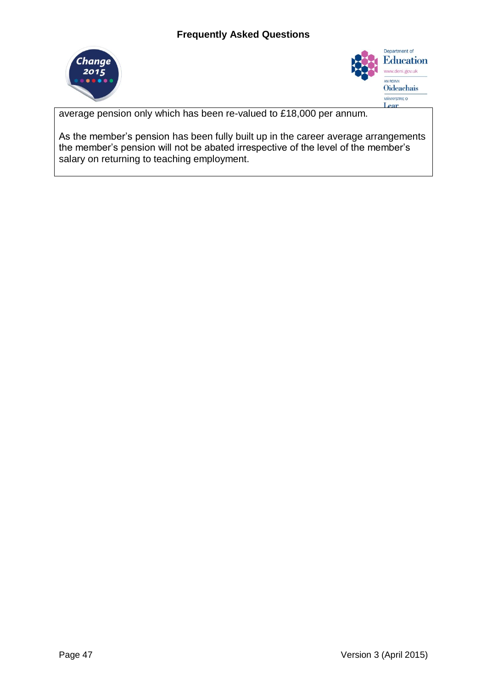



average pension only which has been re-valued to £18,000 per annum.

As the member's pension has been fully built up in the career average arrangements the member's pension will not be abated irrespective of the level of the member's salary on returning to teaching employment.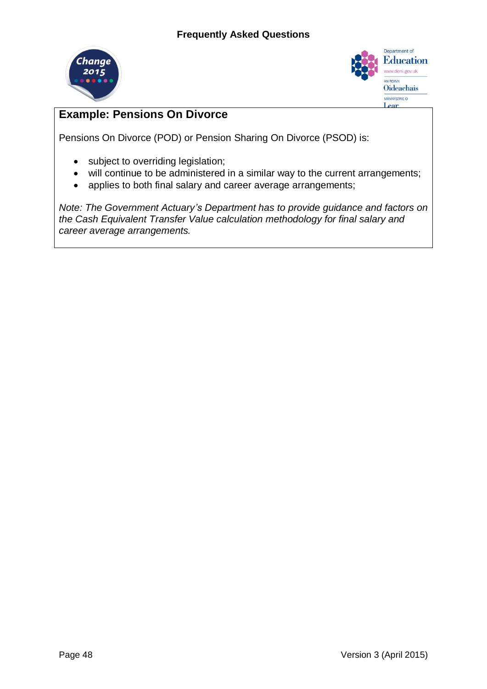



# **Example: Pensions On Divorce**

Pensions On Divorce (POD) or Pension Sharing On Divorce (PSOD) is:

- subject to overriding legislation;
- will continue to be administered in a similar way to the current arrangements;
- applies to both final salary and career average arrangements;

*Note: The Government Actuary's Department has to provide guidance and factors on the Cash Equivalent Transfer Value calculation methodology for final salary and career average arrangements.*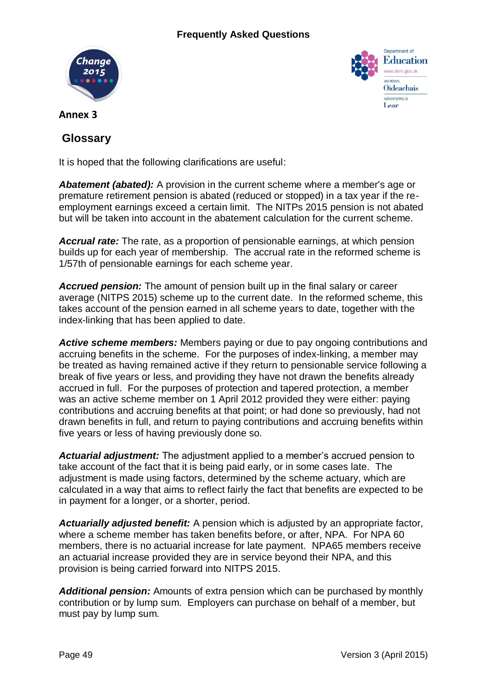



**Annex 3**

# **Glossary**

It is hoped that the following clarifications are useful:

*Abatement (abated):* A provision in the current scheme where a member's age or premature retirement pension is abated (reduced or stopped) in a tax year if the reemployment earnings exceed a certain limit. The NITPs 2015 pension is not abated but will be taken into account in the abatement calculation for the current scheme.

*Accrual rate:* The rate, as a proportion of pensionable earnings, at which pension builds up for each year of membership. The accrual rate in the reformed scheme is 1/57th of pensionable earnings for each scheme year.

*Accrued pension:* The amount of pension built up in the final salary or career average (NITPS 2015) scheme up to the current date. In the reformed scheme, this takes account of the pension earned in all scheme years to date, together with the index-linking that has been applied to date.

*Active scheme members:* Members paying or due to pay ongoing contributions and accruing benefits in the scheme. For the purposes of index-linking, a member may be treated as having remained active if they return to pensionable service following a break of five years or less, and providing they have not drawn the benefits already accrued in full. For the purposes of protection and tapered protection, a member was an active scheme member on 1 April 2012 provided they were either: paying contributions and accruing benefits at that point; or had done so previously, had not drawn benefits in full, and return to paying contributions and accruing benefits within five years or less of having previously done so.

*Actuarial adjustment:* The adjustment applied to a member's accrued pension to take account of the fact that it is being paid early, or in some cases late. The adjustment is made using factors, determined by the scheme actuary, which are calculated in a way that aims to reflect fairly the fact that benefits are expected to be in payment for a longer, or a shorter, period.

*Actuarially adjusted benefit:* A pension which is adjusted by an appropriate factor, where a scheme member has taken benefits before, or after, NPA. For NPA 60 members, there is no actuarial increase for late payment. NPA65 members receive an actuarial increase provided they are in service beyond their NPA, and this provision is being carried forward into NITPS 2015.

*Additional pension:* Amounts of extra pension which can be purchased by monthly contribution or by lump sum. Employers can purchase on behalf of a member, but must pay by lump sum.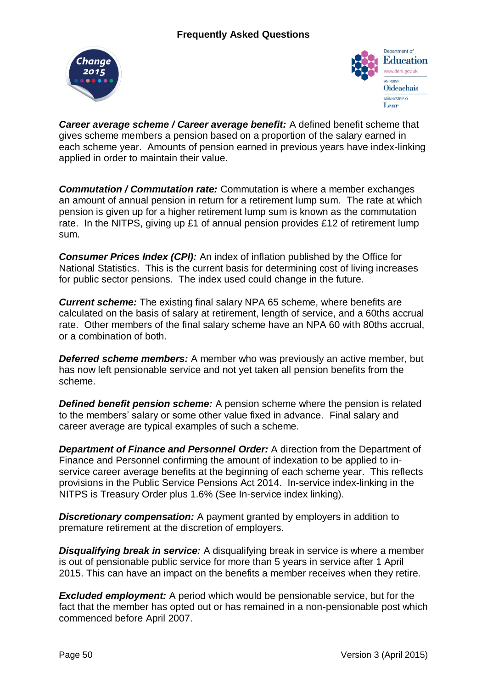



*Career average scheme / Career average benefit:* A defined benefit scheme that gives scheme members a pension based on a proportion of the salary earned in each scheme year. Amounts of pension earned in previous years have index-linking applied in order to maintain their value.

*Commutation / Commutation rate:* Commutation is where a member exchanges an amount of annual pension in return for a retirement lump sum. The rate at which pension is given up for a higher retirement lump sum is known as the commutation rate. In the NITPS, giving up £1 of annual pension provides £12 of retirement lump sum.

**Consumer Prices Index (CPI):** An index of inflation published by the Office for National Statistics. This is the current basis for determining cost of living increases for public sector pensions. The index used could change in the future.

*Current scheme:* The existing final salary NPA 65 scheme, where benefits are calculated on the basis of salary at retirement, length of service, and a 60ths accrual rate. Other members of the final salary scheme have an NPA 60 with 80ths accrual, or a combination of both.

*Deferred scheme members:* A member who was previously an active member, but has now left pensionable service and not yet taken all pension benefits from the scheme.

*Defined benefit pension scheme:* A pension scheme where the pension is related to the members' salary or some other value fixed in advance. Final salary and career average are typical examples of such a scheme.

*Department of Finance and Personnel Order:* A direction from the Department of Finance and Personnel confirming the amount of indexation to be applied to inservice career average benefits at the beginning of each scheme year. This reflects provisions in the Public Service Pensions Act 2014. In-service index-linking in the NITPS is Treasury Order plus 1.6% (See In-service index linking).

*Discretionary compensation:* A payment granted by employers in addition to premature retirement at the discretion of employers.

*Disqualifying break in service:* A disqualifying break in service is where a member is out of pensionable public service for more than 5 years in service after 1 April 2015. This can have an impact on the benefits a member receives when they retire.

*Excluded employment:* A period which would be pensionable service, but for the fact that the member has opted out or has remained in a non-pensionable post which commenced before April 2007.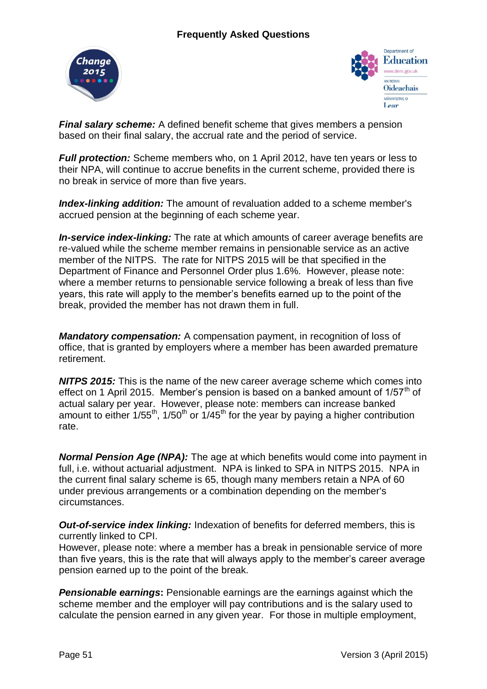



*Final salary scheme:* A defined benefit scheme that gives members a pension based on their final salary, the accrual rate and the period of service.

*Full protection:* Scheme members who, on 1 April 2012, have ten years or less to their NPA, will continue to accrue benefits in the current scheme, provided there is no break in service of more than five years.

*Index-linking addition:* The amount of revaluation added to a scheme member's accrued pension at the beginning of each scheme year.

*In-service index-linking:* The rate at which amounts of career average benefits are re-valued while the scheme member remains in pensionable service as an active member of the NITPS. The rate for NITPS 2015 will be that specified in the Department of Finance and Personnel Order plus 1.6%. However, please note: where a member returns to pensionable service following a break of less than five years, this rate will apply to the member's benefits earned up to the point of the break, provided the member has not drawn them in full.

*Mandatory compensation:* A compensation payment, in recognition of loss of office, that is granted by employers where a member has been awarded premature retirement.

*NITPS 2015:* This is the name of the new career average scheme which comes into effect on 1 April 2015. Member's pension is based on a banked amount of  $1/57<sup>th</sup>$  of actual salary per year. However, please note: members can increase banked amount to either  $1/55^{th}$ , 1/50<sup>th</sup> or  $1/45^{th}$  for the year by paying a higher contribution rate.

*Normal Pension Age (NPA):* The age at which benefits would come into payment in full, i.e. without actuarial adjustment. NPA is linked to SPA in NITPS 2015. NPA in the current final salary scheme is 65, though many members retain a NPA of 60 under previous arrangements or a combination depending on the member's circumstances.

*Out-of-service index linking:* Indexation of benefits for deferred members, this is currently linked to CPI.

However, please note: where a member has a break in pensionable service of more than five years, this is the rate that will always apply to the member's career average pension earned up to the point of the break.

**Pensionable earnings:** Pensionable earnings are the earnings against which the scheme member and the employer will pay contributions and is the salary used to calculate the pension earned in any given year. For those in multiple employment,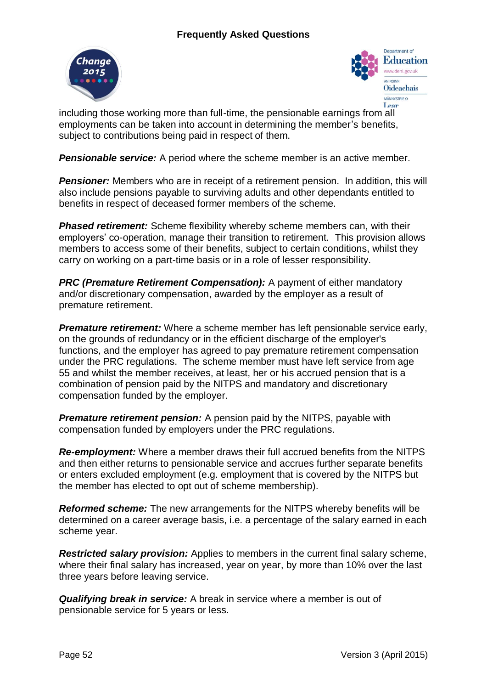



including those working more than full-time, the pensionable earnings from all employments can be taken into account in determining the member's benefits, subject to contributions being paid in respect of them.

**Pensionable service:** A period where the scheme member is an active member.

**Pensioner:** Members who are in receipt of a retirement pension. In addition, this will also include pensions payable to surviving adults and other dependants entitled to benefits in respect of deceased former members of the scheme.

**Phased retirement:** Scheme flexibility whereby scheme members can, with their employers' co-operation, manage their transition to retirement. This provision allows members to access some of their benefits, subject to certain conditions, whilst they carry on working on a part-time basis or in a role of lesser responsibility.

*PRC (Premature Retirement Compensation):* A payment of either mandatory and/or discretionary compensation, awarded by the employer as a result of premature retirement.

*Premature retirement:* Where a scheme member has left pensionable service early, on the grounds of redundancy or in the efficient discharge of the employer's functions, and the employer has agreed to pay premature retirement compensation under the PRC regulations. The scheme member must have left service from age 55 and whilst the member receives, at least, her or his accrued pension that is a combination of pension paid by the NITPS and mandatory and discretionary compensation funded by the employer.

**Premature retirement pension:** A pension paid by the NITPS, payable with compensation funded by employers under the PRC regulations.

*Re-employment:* Where a member draws their full accrued benefits from the NITPS and then either returns to pensionable service and accrues further separate benefits or enters excluded employment (e.g. employment that is covered by the NITPS but the member has elected to opt out of scheme membership).

*Reformed scheme:* The new arrangements for the NITPS whereby benefits will be determined on a career average basis, i.e. a percentage of the salary earned in each scheme year.

*Restricted salary provision:* Applies to members in the current final salary scheme, where their final salary has increased, year on year, by more than 10% over the last three years before leaving service.

*Qualifying break in service:* A break in service where a member is out of pensionable service for 5 years or less.